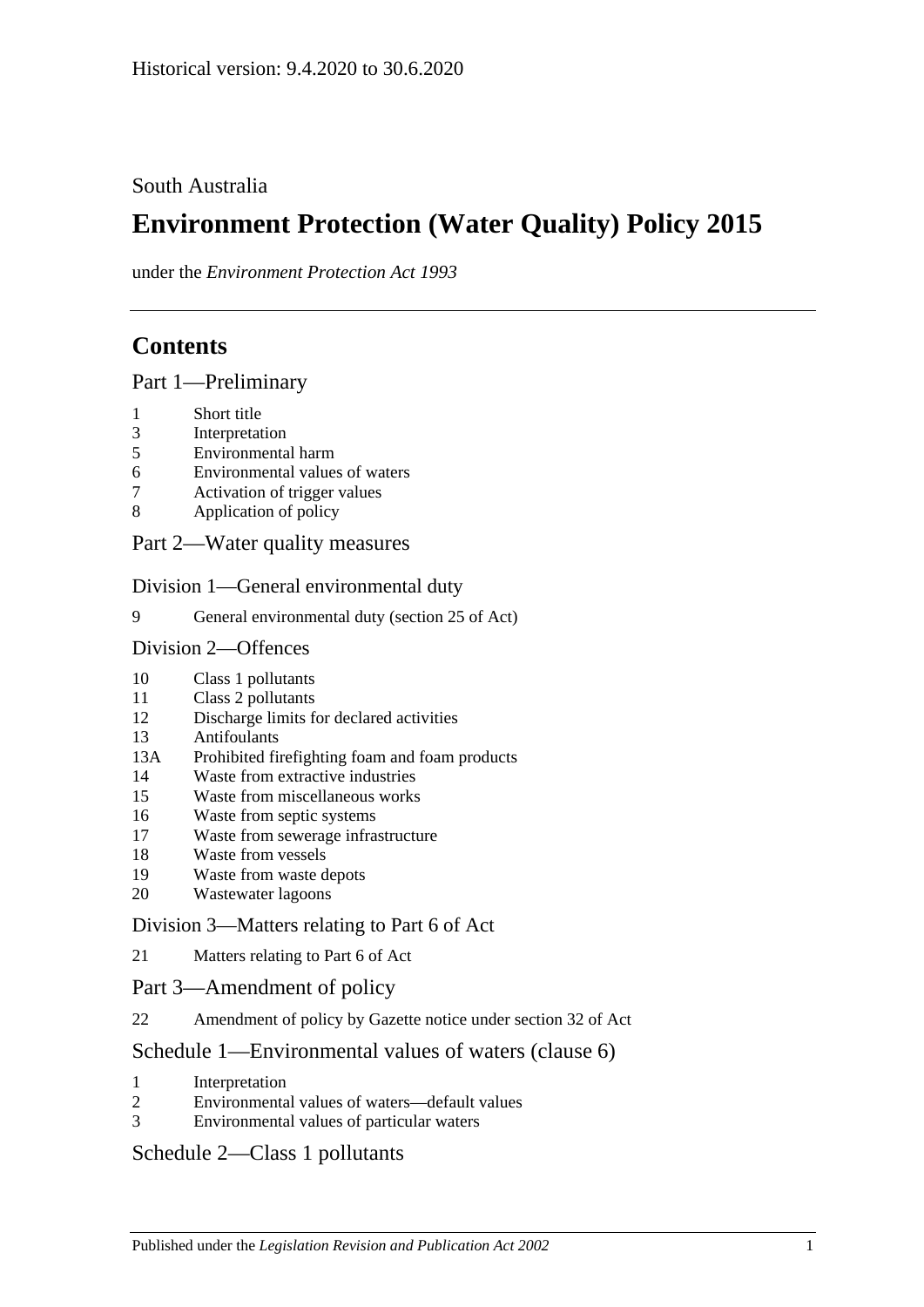## South Australia

# **Environment Protection (Water Quality) Policy 2015**

under the *Environment Protection Act 1993*

## **Contents**

Part [1—Preliminary](#page-1-0)

- [Short title](#page-1-1)
- [Interpretation](#page-1-2)
- [Environmental harm](#page-4-0)
- [Environmental values of waters](#page-4-1)
- [Activation of trigger values](#page-5-0)
- [Application of policy](#page-6-0)
- Part [2—Water quality measures](#page-7-0)

Division [1—General environmental duty](#page-7-1)

[General environmental duty \(section 25 of Act\)](#page-7-2)

#### Division [2—Offences](#page-7-3)

- [Class 1 pollutants](#page-7-4)
- [Class 2 pollutants](#page-8-0)
- [Discharge limits for declared activities](#page-8-1)
- [Antifoulants](#page-9-0)<br>13A Prohibited fi
- [Prohibited firefighting foam and foam products](#page-9-1)
- [Waste from extractive industries](#page-11-0)
- [Waste from miscellaneous works](#page-11-1)
- [Waste from septic systems](#page-12-0)
- [Waste from sewerage infrastructure](#page-13-0)
- [Waste from vessels](#page-13-1)
- [Waste from waste depots](#page-16-0)
- [Wastewater lagoons](#page-16-1)

#### Division [3—Matters relating to Part](#page-16-2) 6 of Act

[Matters relating to Part](#page-16-3) 6 of Act

#### Part [3—Amendment of policy](#page-17-0)

[Amendment of policy by Gazette notice under section](#page-17-1) 32 of Act

## Schedule [1—Environmental values of waters \(clause](#page-17-2) 6)

- [Interpretation](#page-17-3)
- [Environmental values of waters—default values](#page-18-0)
- [Environmental values of particular waters](#page-18-1)

## Schedule [2—Class 1 pollutants](#page-19-0)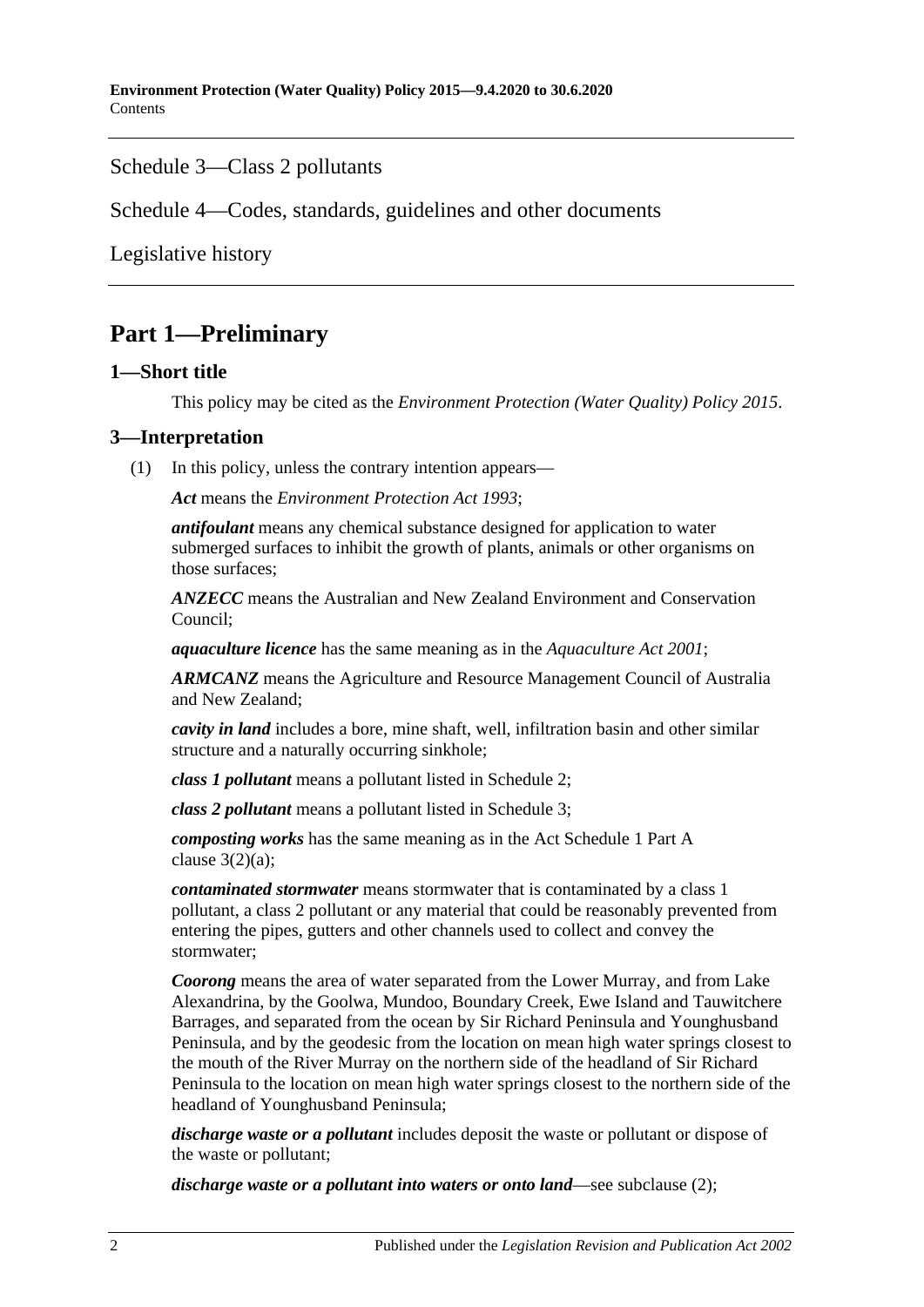### Schedule [3—Class 2 pollutants](#page-20-0)

Schedule [4—Codes, standards, guidelines and other documents](#page-21-0)

[Legislative history](#page-23-0)

## <span id="page-1-0"></span>**Part 1—Preliminary**

#### <span id="page-1-1"></span>**1—Short title**

This policy may be cited as the *[Environment Protection \(Water Quality\) Policy](http://www.legislation.sa.gov.au/index.aspx?action=legref&type=subordleg&legtitle=Environment%20Protection%20(Water%20Quality)%20Policy%202015) 2015*.

### <span id="page-1-2"></span>**3—Interpretation**

(1) In this policy, unless the contrary intention appears—

*Act* means the *[Environment Protection Act](http://www.legislation.sa.gov.au/index.aspx?action=legref&type=act&legtitle=Environment%20Protection%20Act%201993) 1993*;

*antifoulant* means any chemical substance designed for application to water submerged surfaces to inhibit the growth of plants, animals or other organisms on those surfaces;

*ANZECC* means the Australian and New Zealand Environment and Conservation Council;

*aquaculture licence* has the same meaning as in the *[Aquaculture Act](http://www.legislation.sa.gov.au/index.aspx?action=legref&type=act&legtitle=Aquaculture%20Act%202001) 2001*;

*ARMCANZ* means the Agriculture and Resource Management Council of Australia and New Zealand;

*cavity in land* includes a bore, mine shaft, well, infiltration basin and other similar structure and a naturally occurring sinkhole;

*class 1 pollutant* means a pollutant listed in [Schedule](#page-19-0) 2;

*class 2 pollutant* means a pollutant listed in [Schedule](#page-20-0) 3;

*composting works* has the same meaning as in the Act Schedule 1 Part A clause  $3(2)(a)$ ;

*contaminated stormwater* means stormwater that is contaminated by a class 1 pollutant, a class 2 pollutant or any material that could be reasonably prevented from entering the pipes, gutters and other channels used to collect and convey the stormwater;

*Coorong* means the area of water separated from the Lower Murray, and from Lake Alexandrina, by the Goolwa, Mundoo, Boundary Creek, Ewe Island and Tauwitchere Barrages, and separated from the ocean by Sir Richard Peninsula and Younghusband Peninsula, and by the geodesic from the location on mean high water springs closest to the mouth of the River Murray on the northern side of the headland of Sir Richard Peninsula to the location on mean high water springs closest to the northern side of the headland of Younghusband Peninsula;

*discharge waste or a pollutant* includes deposit the waste or pollutant or dispose of the waste or pollutant;

*discharge waste or a pollutant into waters or onto land*—see [subclause](#page-4-2) (2);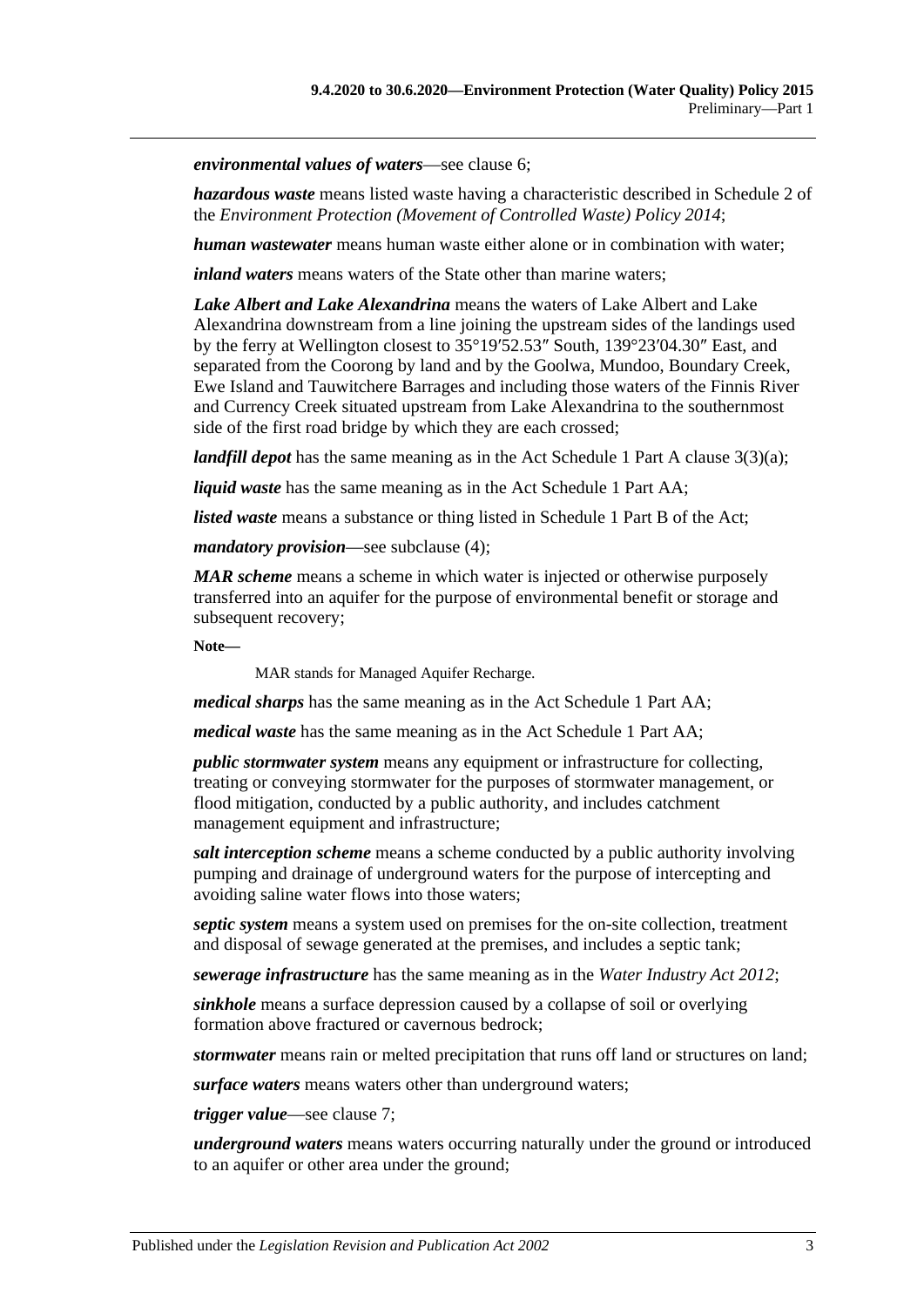*environmental values of waters*—see [clause](#page-4-1) 6;

*hazardous waste* means listed waste having a characteristic described in Schedule 2 of the *[Environment Protection \(Movement of Controlled Waste\) Policy](http://www.legislation.sa.gov.au/index.aspx?action=legref&type=subordleg&legtitle=Environment%20Protection%20(Movement%20of%20Controlled%20Waste)%20Policy%202014) 2014*;

*human wastewater* means human waste either alone or in combination with water;

*inland waters* means waters of the State other than marine waters;

*Lake Albert and Lake Alexandrina* means the waters of Lake Albert and Lake Alexandrina downstream from a line joining the upstream sides of the landings used by the ferry at Wellington closest to 35°19′52.53″ South, 139°23′04.30″ East, and separated from the Coorong by land and by the Goolwa, Mundoo, Boundary Creek, Ewe Island and Tauwitchere Barrages and including those waters of the Finnis River and Currency Creek situated upstream from Lake Alexandrina to the southernmost side of the first road bridge by which they are each crossed;

*landfill depot* has the same meaning as in the Act Schedule 1 Part A clause 3(3)(a);

*liquid waste* has the same meaning as in the Act Schedule 1 Part AA;

*listed waste* means a substance or thing listed in Schedule 1 Part B of the Act;

*mandatory provision*—see [subclause](#page-4-3) (4);

*MAR scheme* means a scheme in which water is injected or otherwise purposely transferred into an aquifer for the purpose of environmental benefit or storage and subsequent recovery;

**Note—**

MAR stands for Managed Aquifer Recharge.

*medical sharps* has the same meaning as in the Act Schedule 1 Part AA;

*medical waste* has the same meaning as in the Act Schedule 1 Part AA;

*public stormwater system* means any equipment or infrastructure for collecting, treating or conveying stormwater for the purposes of stormwater management, or flood mitigation, conducted by a public authority, and includes catchment management equipment and infrastructure;

*salt interception scheme* means a scheme conducted by a public authority involving pumping and drainage of underground waters for the purpose of intercepting and avoiding saline water flows into those waters;

*septic system* means a system used on premises for the on-site collection, treatment and disposal of sewage generated at the premises, and includes a septic tank;

*sewerage infrastructure* has the same meaning as in the *[Water Industry Act](http://www.legislation.sa.gov.au/index.aspx?action=legref&type=act&legtitle=Water%20Industry%20Act%202012) 2012*;

*sinkhole* means a surface depression caused by a collapse of soil or overlying formation above fractured or cavernous bedrock;

*stormwater* means rain or melted precipitation that runs off land or structures on land;

*surface waters* means waters other than underground waters;

*trigger value*—see [clause](#page-5-0) 7;

*underground waters* means waters occurring naturally under the ground or introduced to an aquifer or other area under the ground;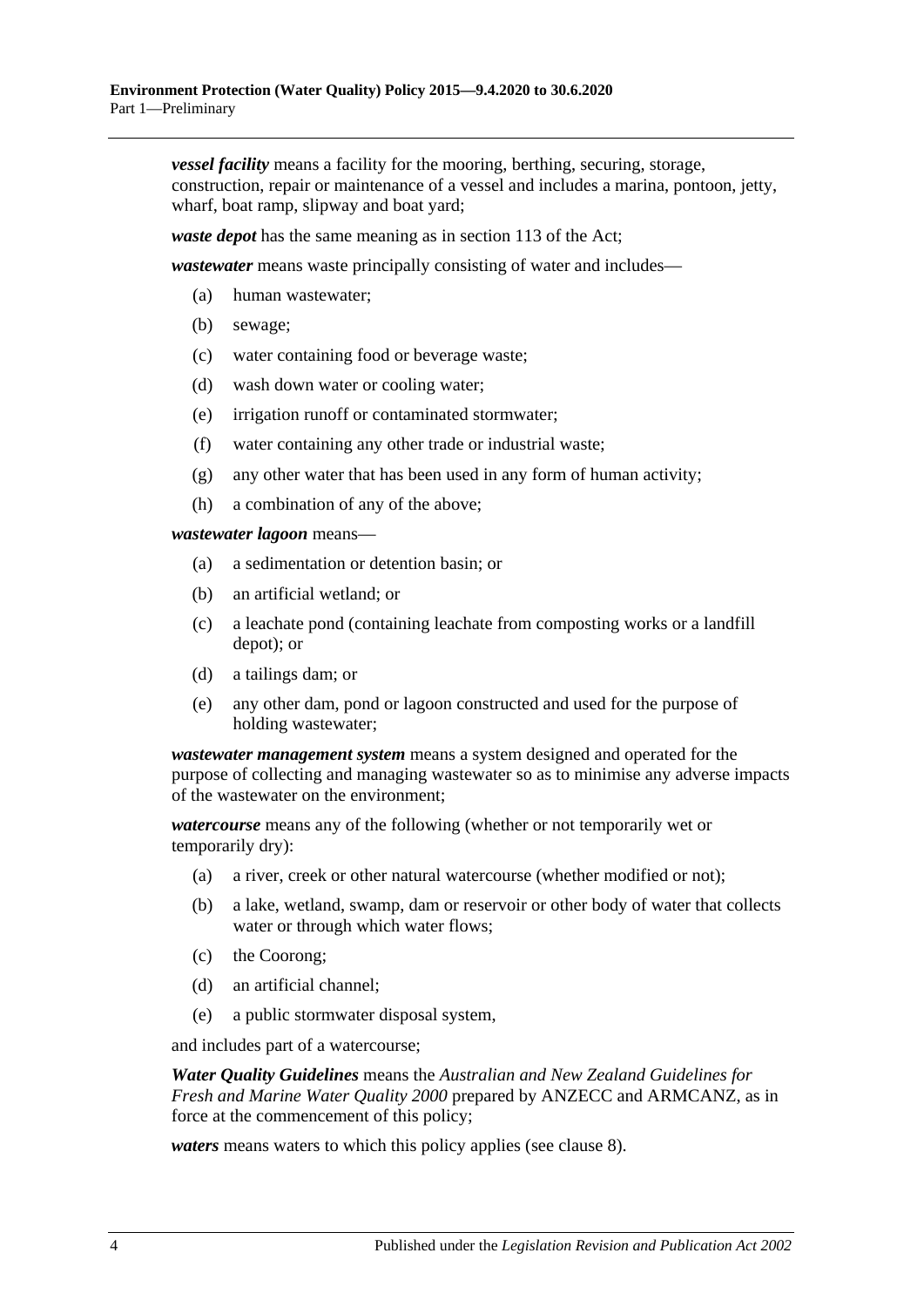*vessel facility* means a facility for the mooring, berthing, securing, storage, construction, repair or maintenance of a vessel and includes a marina, pontoon, jetty, wharf, boat ramp, slipway and boat yard;

*waste depot* has the same meaning as in section 113 of the Act;

*wastewater* means waste principally consisting of water and includes—

- (a) human wastewater;
- (b) sewage;
- (c) water containing food or beverage waste;
- (d) wash down water or cooling water;
- (e) irrigation runoff or contaminated stormwater;
- (f) water containing any other trade or industrial waste;
- (g) any other water that has been used in any form of human activity;
- (h) a combination of any of the above;

*wastewater lagoon* means—

- (a) a sedimentation or detention basin; or
- (b) an artificial wetland; or
- (c) a leachate pond (containing leachate from composting works or a landfill depot); or
- (d) a tailings dam; or
- (e) any other dam, pond or lagoon constructed and used for the purpose of holding wastewater;

*wastewater management system* means a system designed and operated for the purpose of collecting and managing wastewater so as to minimise any adverse impacts of the wastewater on the environment;

*watercourse* means any of the following (whether or not temporarily wet or temporarily dry):

- (a) a river, creek or other natural watercourse (whether modified or not);
- (b) a lake, wetland, swamp, dam or reservoir or other body of water that collects water or through which water flows;
- (c) the Coorong;
- (d) an artificial channel;
- (e) a public stormwater disposal system,

and includes part of a watercourse;

*Water Quality Guidelines* means the *Australian and New Zealand Guidelines for Fresh and Marine Water Quality 2000* prepared by ANZECC and ARMCANZ, as in force at the commencement of this policy;

*waters* means waters to which this policy applies (see [clause](#page-6-0) 8).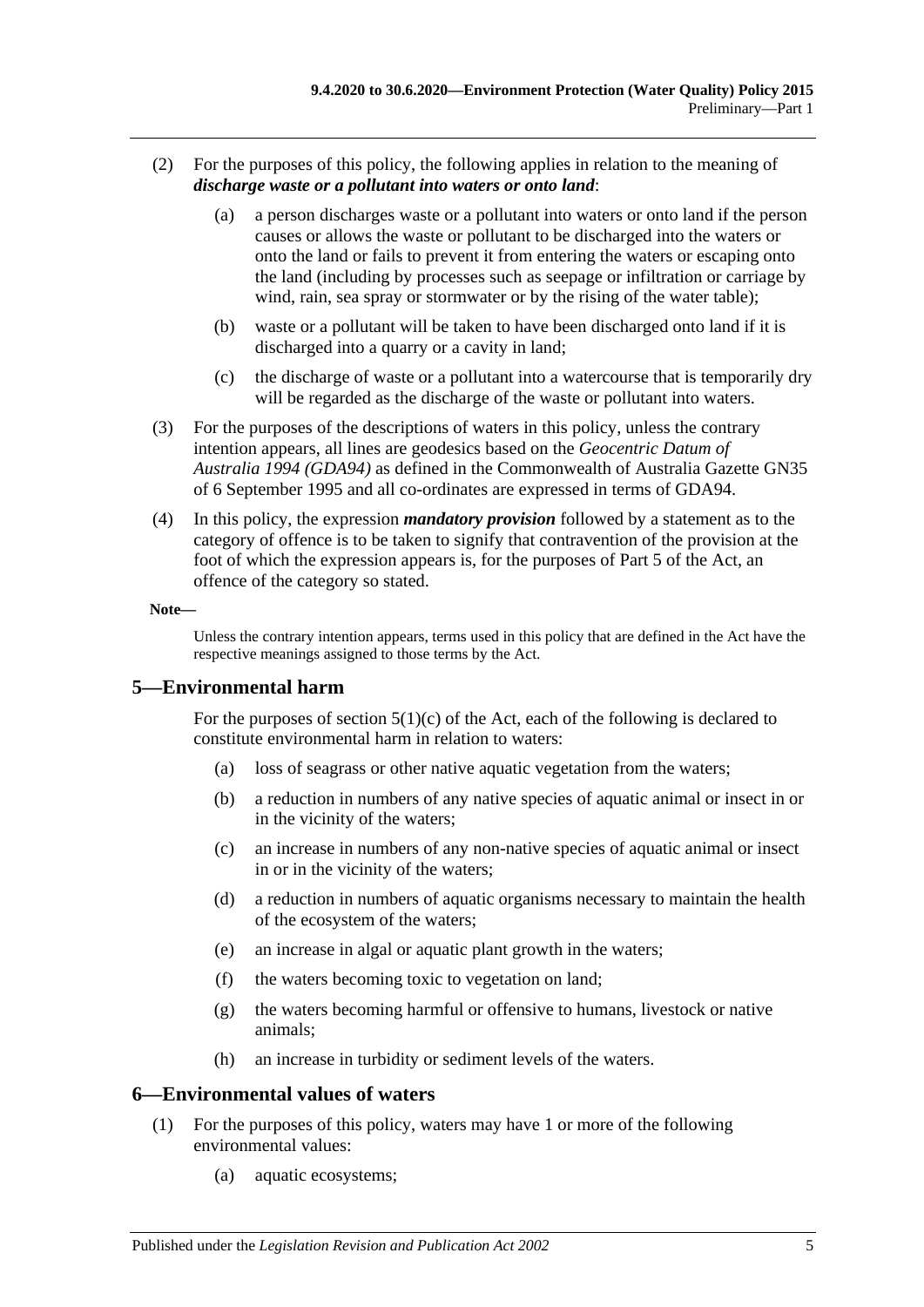- <span id="page-4-2"></span>(2) For the purposes of this policy, the following applies in relation to the meaning of *discharge waste or a pollutant into waters or onto land*:
	- (a) a person discharges waste or a pollutant into waters or onto land if the person causes or allows the waste or pollutant to be discharged into the waters or onto the land or fails to prevent it from entering the waters or escaping onto the land (including by processes such as seepage or infiltration or carriage by wind, rain, sea spray or stormwater or by the rising of the water table);
	- (b) waste or a pollutant will be taken to have been discharged onto land if it is discharged into a quarry or a cavity in land;
	- (c) the discharge of waste or a pollutant into a watercourse that is temporarily dry will be regarded as the discharge of the waste or pollutant into waters.
- (3) For the purposes of the descriptions of waters in this policy, unless the contrary intention appears, all lines are geodesics based on the *Geocentric Datum of Australia 1994 (GDA94)* as defined in the Commonwealth of Australia Gazette GN35 of 6 September 1995 and all co-ordinates are expressed in terms of GDA94.
- <span id="page-4-3"></span>(4) In this policy, the expression *mandatory provision* followed by a statement as to the category of offence is to be taken to signify that contravention of the provision at the foot of which the expression appears is, for the purposes of Part 5 of the Act, an offence of the category so stated.

#### **Note—**

Unless the contrary intention appears, terms used in this policy that are defined in the Act have the respective meanings assigned to those terms by the Act.

#### <span id="page-4-0"></span>**5—Environmental harm**

For the purposes of section  $5(1)(c)$  of the Act, each of the following is declared to constitute environmental harm in relation to waters:

- (a) loss of seagrass or other native aquatic vegetation from the waters;
- (b) a reduction in numbers of any native species of aquatic animal or insect in or in the vicinity of the waters;
- (c) an increase in numbers of any non-native species of aquatic animal or insect in or in the vicinity of the waters;
- (d) a reduction in numbers of aquatic organisms necessary to maintain the health of the ecosystem of the waters;
- (e) an increase in algal or aquatic plant growth in the waters;
- (f) the waters becoming toxic to vegetation on land;
- (g) the waters becoming harmful or offensive to humans, livestock or native animals;
- (h) an increase in turbidity or sediment levels of the waters.

#### <span id="page-4-1"></span>**6—Environmental values of waters**

- (1) For the purposes of this policy, waters may have 1 or more of the following environmental values:
	- (a) aquatic ecosystems;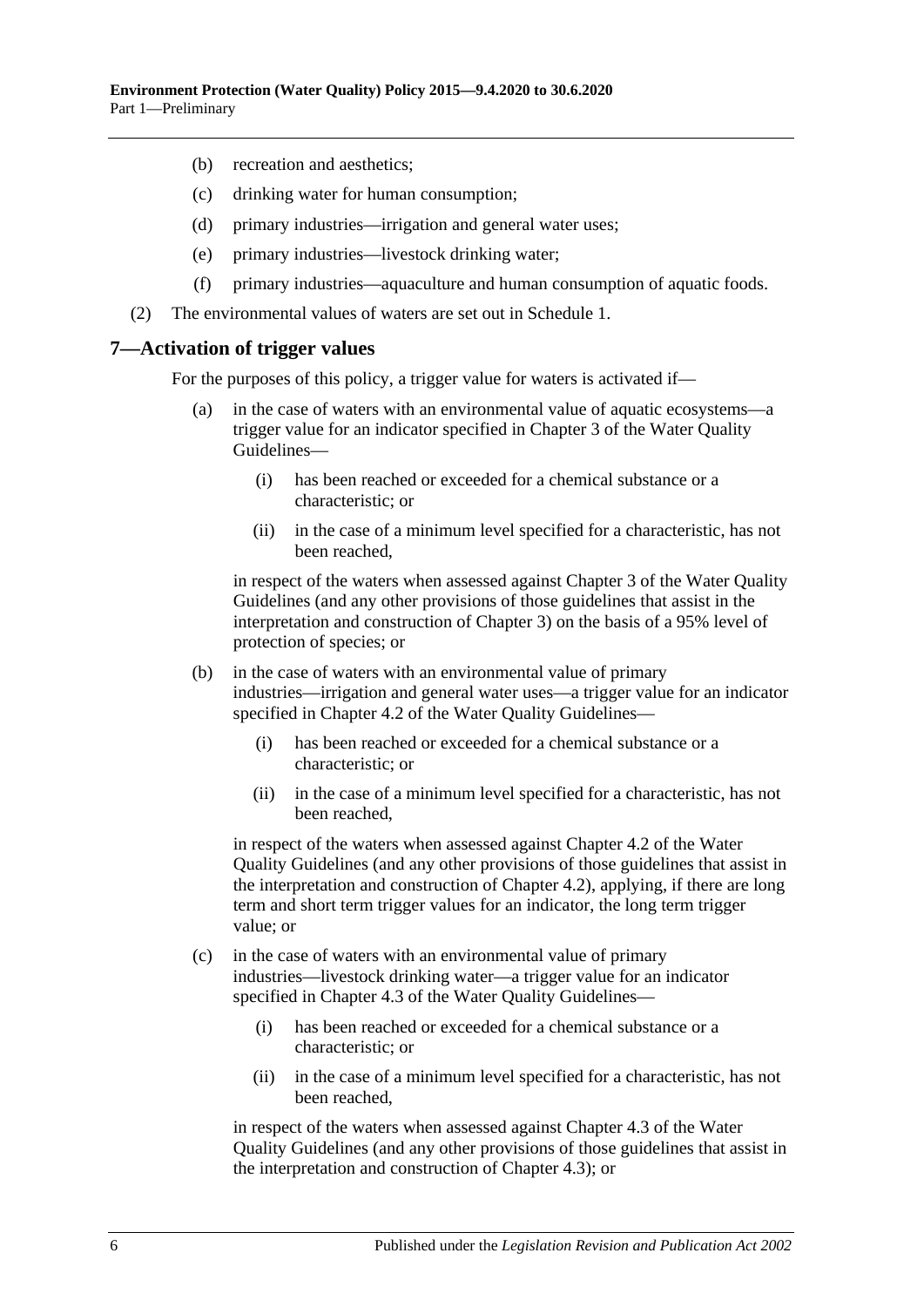- (b) recreation and aesthetics;
- (c) drinking water for human consumption;
- (d) primary industries—irrigation and general water uses;
- (e) primary industries—livestock drinking water;
- (f) primary industries—aquaculture and human consumption of aquatic foods.
- (2) The environmental values of waters are set out in [Schedule](#page-17-2) 1.

#### <span id="page-5-0"></span>**7—Activation of trigger values**

For the purposes of this policy, a trigger value for waters is activated if—

- (a) in the case of waters with an environmental value of aquatic ecosystems—a trigger value for an indicator specified in Chapter 3 of the Water Quality Guidelines—
	- (i) has been reached or exceeded for a chemical substance or a characteristic; or
	- (ii) in the case of a minimum level specified for a characteristic, has not been reached,

in respect of the waters when assessed against Chapter 3 of the Water Quality Guidelines (and any other provisions of those guidelines that assist in the interpretation and construction of Chapter 3) on the basis of a 95% level of protection of species; or

- (b) in the case of waters with an environmental value of primary industries—irrigation and general water uses—a trigger value for an indicator specified in Chapter 4.2 of the Water Quality Guidelines—
	- (i) has been reached or exceeded for a chemical substance or a characteristic; or
	- (ii) in the case of a minimum level specified for a characteristic, has not been reached,

in respect of the waters when assessed against Chapter 4.2 of the Water Quality Guidelines (and any other provisions of those guidelines that assist in the interpretation and construction of Chapter 4.2), applying, if there are long term and short term trigger values for an indicator, the long term trigger value; or

- (c) in the case of waters with an environmental value of primary industries—livestock drinking water—a trigger value for an indicator specified in Chapter 4.3 of the Water Quality Guidelines—
	- (i) has been reached or exceeded for a chemical substance or a characteristic; or
	- (ii) in the case of a minimum level specified for a characteristic, has not been reached,

in respect of the waters when assessed against Chapter 4.3 of the Water Quality Guidelines (and any other provisions of those guidelines that assist in the interpretation and construction of Chapter 4.3); or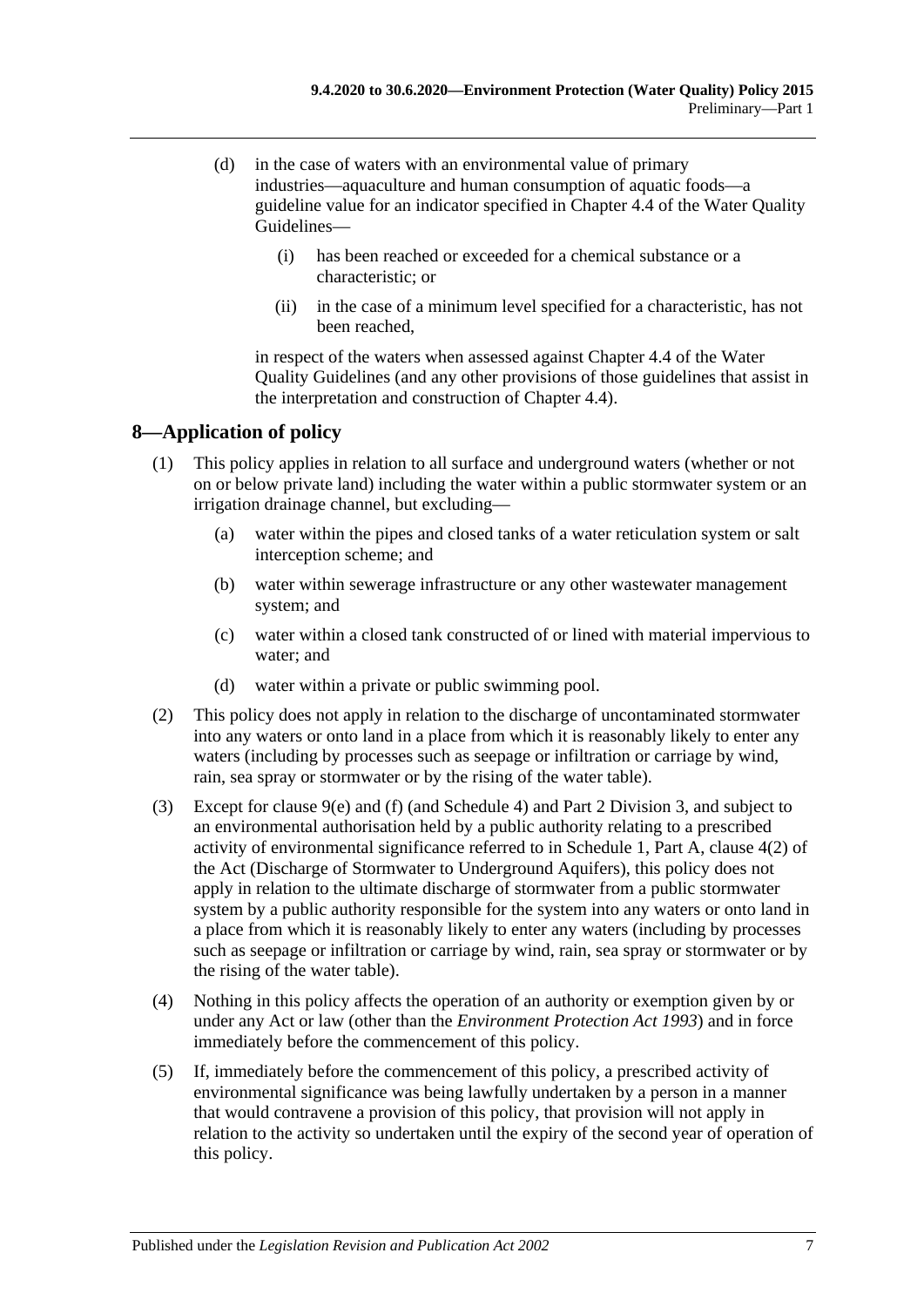- (d) in the case of waters with an environmental value of primary industries—aquaculture and human consumption of aquatic foods—a guideline value for an indicator specified in Chapter 4.4 of the Water Quality Guidelines—
	- (i) has been reached or exceeded for a chemical substance or a characteristic; or
	- (ii) in the case of a minimum level specified for a characteristic, has not been reached,

in respect of the waters when assessed against Chapter 4.4 of the Water Quality Guidelines (and any other provisions of those guidelines that assist in the interpretation and construction of Chapter 4.4).

## <span id="page-6-0"></span>**8—Application of policy**

- (1) This policy applies in relation to all surface and underground waters (whether or not on or below private land) including the water within a public stormwater system or an irrigation drainage channel, but excluding—
	- (a) water within the pipes and closed tanks of a water reticulation system or salt interception scheme; and
	- (b) water within sewerage infrastructure or any other wastewater management system; and
	- (c) water within a closed tank constructed of or lined with material impervious to water; and
	- (d) water within a private or public swimming pool.
- (2) This policy does not apply in relation to the discharge of uncontaminated stormwater into any waters or onto land in a place from which it is reasonably likely to enter any waters (including by processes such as seepage or infiltration or carriage by wind, rain, sea spray or stormwater or by the rising of the water table).
- (3) Except for [clause](#page-7-5) 9(e) and [\(f\)](#page-7-6) (and [Schedule](#page-21-0) 4) and Part [2 Division](#page-16-2) 3, and subject to an environmental authorisation held by a public authority relating to a prescribed activity of environmental significance referred to in Schedule 1, Part A, clause 4(2) of the Act (Discharge of Stormwater to Underground Aquifers), this policy does not apply in relation to the ultimate discharge of stormwater from a public stormwater system by a public authority responsible for the system into any waters or onto land in a place from which it is reasonably likely to enter any waters (including by processes such as seepage or infiltration or carriage by wind, rain, sea spray or stormwater or by the rising of the water table).
- (4) Nothing in this policy affects the operation of an authority or exemption given by or under any Act or law (other than the *[Environment Protection Act](http://www.legislation.sa.gov.au/index.aspx?action=legref&type=act&legtitle=Environment%20Protection%20Act%201993) 1993*) and in force immediately before the commencement of this policy.
- (5) If, immediately before the commencement of this policy, a prescribed activity of environmental significance was being lawfully undertaken by a person in a manner that would contravene a provision of this policy, that provision will not apply in relation to the activity so undertaken until the expiry of the second year of operation of this policy.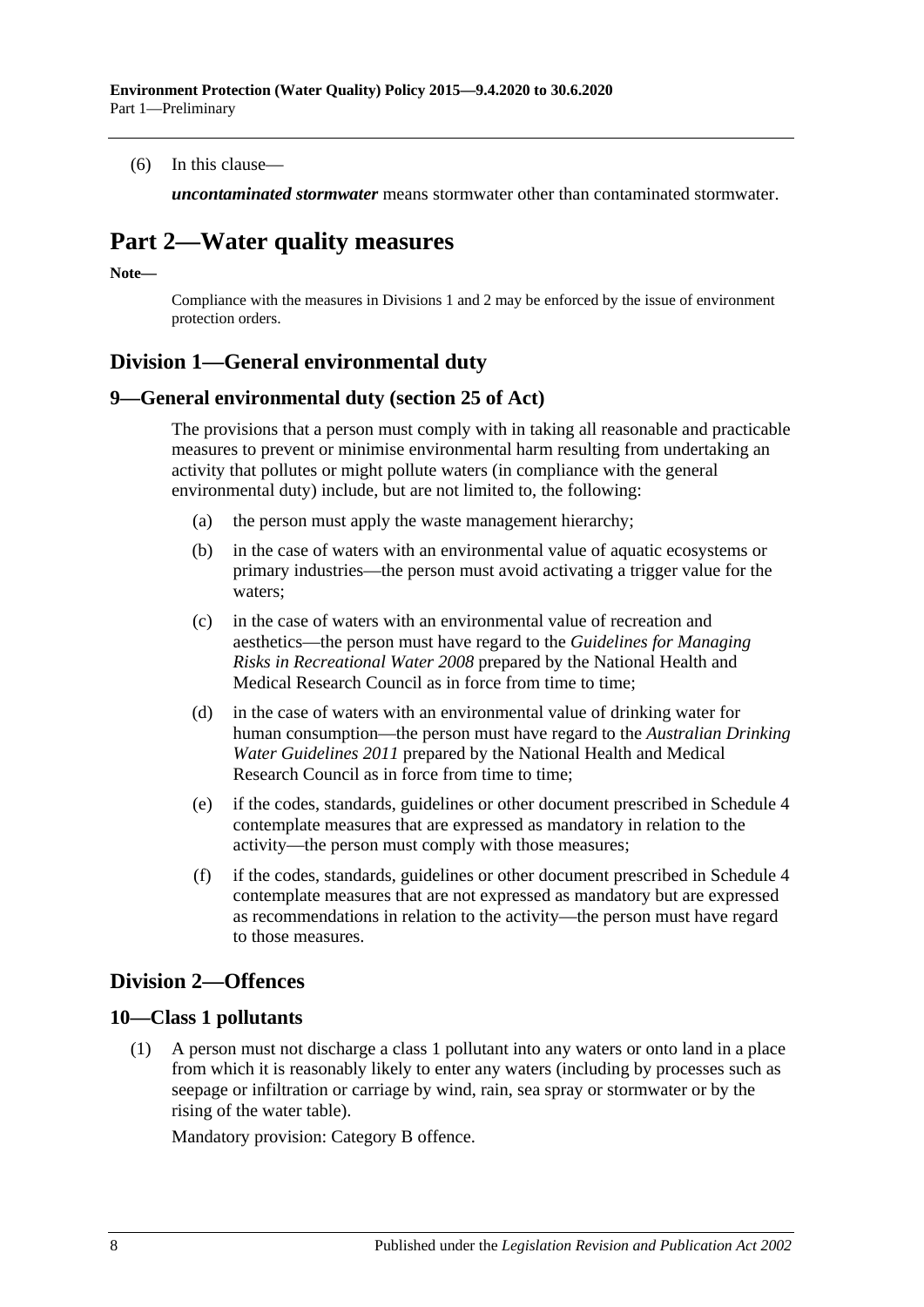(6) In this clause—

*uncontaminated stormwater* means stormwater other than contaminated stormwater.

## <span id="page-7-0"></span>**Part 2—Water quality measures**

**Note—**

Compliance with the measures in [Divisions](#page-7-1) 1 and 2 may be enforced by the issue of environment protection orders.

## <span id="page-7-1"></span>**Division 1—General environmental duty**

#### <span id="page-7-2"></span>**9—General environmental duty (section 25 of Act)**

The provisions that a person must comply with in taking all reasonable and practicable measures to prevent or minimise environmental harm resulting from undertaking an activity that pollutes or might pollute waters (in compliance with the general environmental duty) include, but are not limited to, the following:

- (a) the person must apply the waste management hierarchy;
- (b) in the case of waters with an environmental value of aquatic ecosystems or primary industries—the person must avoid activating a trigger value for the waters;
- (c) in the case of waters with an environmental value of recreation and aesthetics—the person must have regard to the *Guidelines for Managing Risks in Recreational Water 2008* prepared by the National Health and Medical Research Council as in force from time to time;
- (d) in the case of waters with an environmental value of drinking water for human consumption—the person must have regard to the *Australian Drinking Water Guidelines 2011* prepared by the National Health and Medical Research Council as in force from time to time;
- <span id="page-7-5"></span>(e) if the codes, standards, guidelines or other document prescribed in [Schedule](#page-21-0) 4 contemplate measures that are expressed as mandatory in relation to the activity—the person must comply with those measures;
- <span id="page-7-6"></span>(f) if the codes, standards, guidelines or other document prescribed in [Schedule](#page-21-0) 4 contemplate measures that are not expressed as mandatory but are expressed as recommendations in relation to the activity—the person must have regard to those measures.

## <span id="page-7-3"></span>**Division 2—Offences**

#### <span id="page-7-7"></span><span id="page-7-4"></span>**10—Class 1 pollutants**

(1) A person must not discharge a class 1 pollutant into any waters or onto land in a place from which it is reasonably likely to enter any waters (including by processes such as seepage or infiltration or carriage by wind, rain, sea spray or stormwater or by the rising of the water table).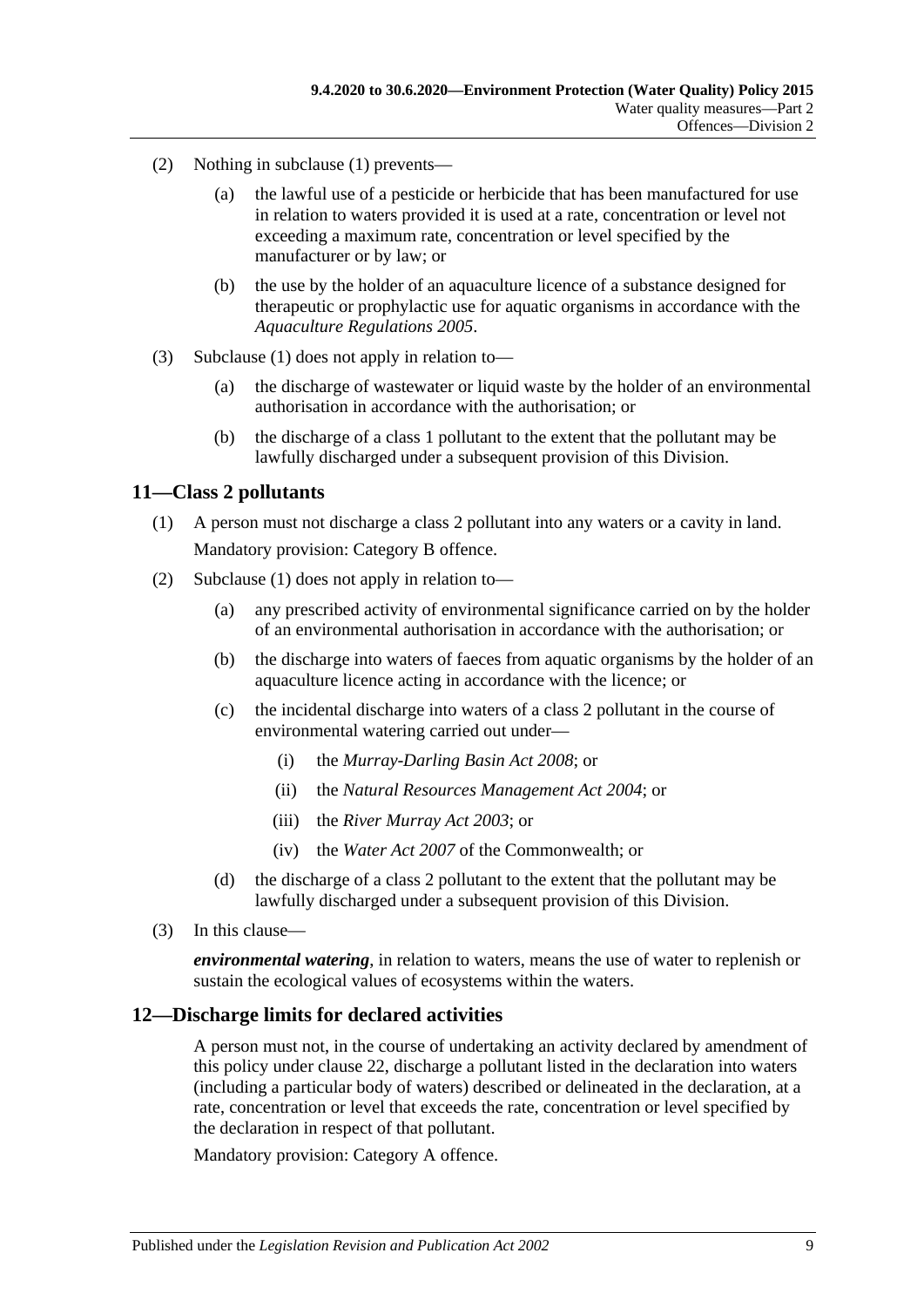- (2) Nothing in [subclause](#page-7-7) (1) prevents—
	- (a) the lawful use of a pesticide or herbicide that has been manufactured for use in relation to waters provided it is used at a rate, concentration or level not exceeding a maximum rate, concentration or level specified by the manufacturer or by law; or
	- (b) the use by the holder of an aquaculture licence of a substance designed for therapeutic or prophylactic use for aquatic organisms in accordance with the *[Aquaculture Regulations](http://www.legislation.sa.gov.au/index.aspx?action=legref&type=subordleg&legtitle=Aquaculture%20Regulations%202005) 2005*.
- (3) [Subclause](#page-7-7) (1) does not apply in relation to—
	- (a) the discharge of wastewater or liquid waste by the holder of an environmental authorisation in accordance with the authorisation; or
	- (b) the discharge of a class 1 pollutant to the extent that the pollutant may be lawfully discharged under a subsequent provision of this Division.

#### <span id="page-8-2"></span><span id="page-8-0"></span>**11—Class 2 pollutants**

- (1) A person must not discharge a class 2 pollutant into any waters or a cavity in land. Mandatory provision: Category B offence.
- (2) [Subclause](#page-8-2) (1) does not apply in relation to—
	- (a) any prescribed activity of environmental significance carried on by the holder of an environmental authorisation in accordance with the authorisation; or
	- (b) the discharge into waters of faeces from aquatic organisms by the holder of an aquaculture licence acting in accordance with the licence; or
	- (c) the incidental discharge into waters of a class 2 pollutant in the course of environmental watering carried out under—
		- (i) the *[Murray-Darling Basin Act](http://www.legislation.sa.gov.au/index.aspx?action=legref&type=act&legtitle=Murray-Darling%20Basin%20Act%202008) 2008*; or
		- (ii) the *[Natural Resources Management Act](http://www.legislation.sa.gov.au/index.aspx?action=legref&type=act&legtitle=Natural%20Resources%20Management%20Act%202004) 2004*; or
		- (iii) the *[River Murray Act](http://www.legislation.sa.gov.au/index.aspx?action=legref&type=act&legtitle=River%20Murray%20Act%202003) 2003*; or
		- (iv) the *Water Act 2007* of the Commonwealth; or
	- (d) the discharge of a class 2 pollutant to the extent that the pollutant may be lawfully discharged under a subsequent provision of this Division.
- (3) In this clause—

*environmental watering*, in relation to waters, means the use of water to replenish or sustain the ecological values of ecosystems within the waters.

#### <span id="page-8-1"></span>**12—Discharge limits for declared activities**

A person must not, in the course of undertaking an activity declared by amendment of this policy under [clause](#page-17-1) 22, discharge a pollutant listed in the declaration into waters (including a particular body of waters) described or delineated in the declaration, at a rate, concentration or level that exceeds the rate, concentration or level specified by the declaration in respect of that pollutant.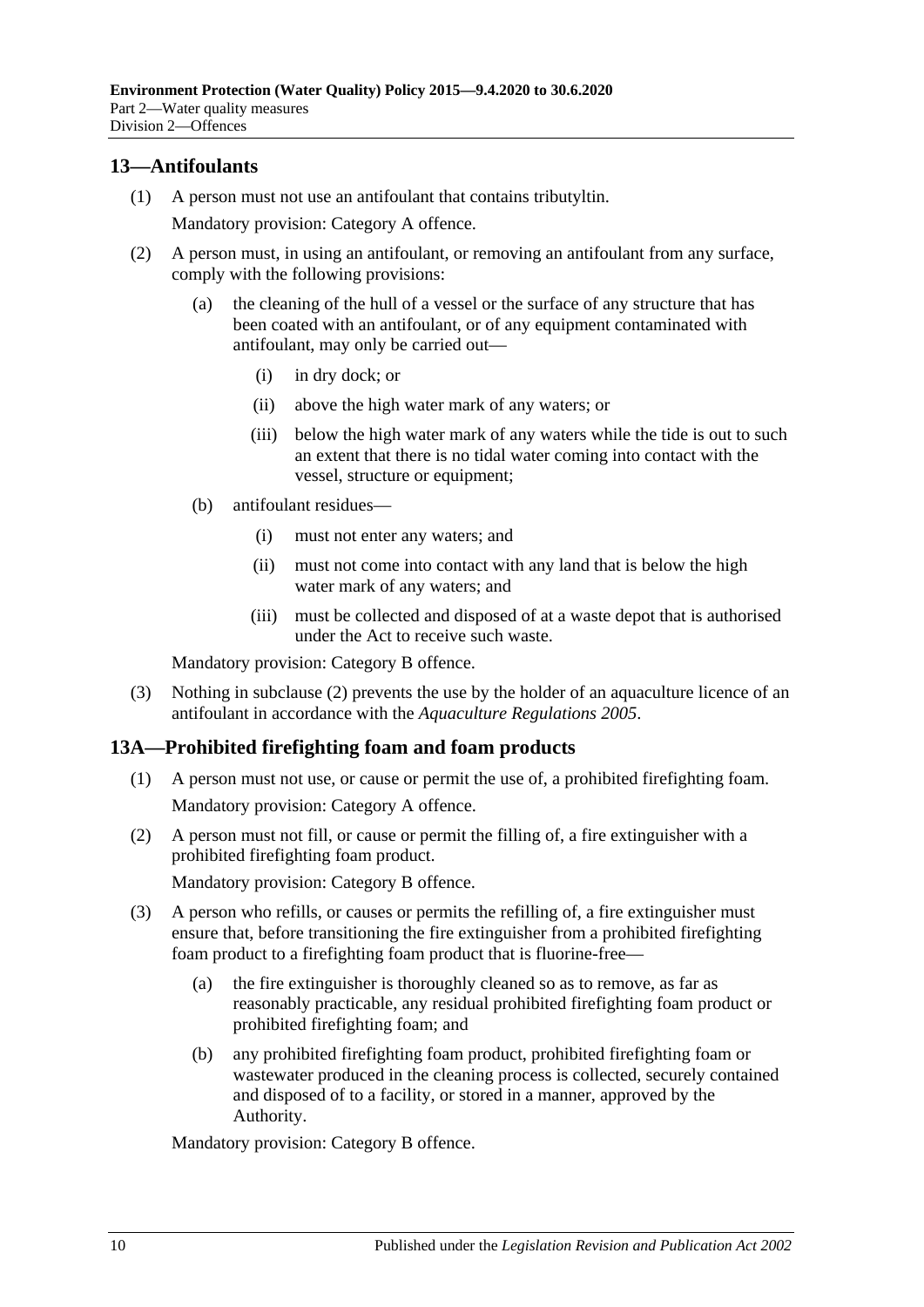### <span id="page-9-0"></span>**13—Antifoulants**

(1) A person must not use an antifoulant that contains tributyltin.

Mandatory provision: Category A offence.

- <span id="page-9-2"></span>(2) A person must, in using an antifoulant, or removing an antifoulant from any surface, comply with the following provisions:
	- (a) the cleaning of the hull of a vessel or the surface of any structure that has been coated with an antifoulant, or of any equipment contaminated with antifoulant, may only be carried out—
		- (i) in dry dock; or
		- (ii) above the high water mark of any waters; or
		- (iii) below the high water mark of any waters while the tide is out to such an extent that there is no tidal water coming into contact with the vessel, structure or equipment;
	- (b) antifoulant residues—
		- (i) must not enter any waters; and
		- (ii) must not come into contact with any land that is below the high water mark of any waters; and
		- (iii) must be collected and disposed of at a waste depot that is authorised under the Act to receive such waste.

Mandatory provision: Category B offence.

(3) Nothing in [subclause](#page-9-2) (2) prevents the use by the holder of an aquaculture licence of an antifoulant in accordance with the *[Aquaculture Regulations](http://www.legislation.sa.gov.au/index.aspx?action=legref&type=subordleg&legtitle=Aquaculture%20Regulations%202005) 2005*.

#### <span id="page-9-3"></span><span id="page-9-1"></span>**13A—Prohibited firefighting foam and foam products**

- (1) A person must not use, or cause or permit the use of, a prohibited firefighting foam. Mandatory provision: Category A offence.
- <span id="page-9-4"></span>(2) A person must not fill, or cause or permit the filling of, a fire extinguisher with a prohibited firefighting foam product.

Mandatory provision: Category B offence.

- (3) A person who refills, or causes or permits the refilling of, a fire extinguisher must ensure that, before transitioning the fire extinguisher from a prohibited firefighting foam product to a firefighting foam product that is fluorine-free—
	- (a) the fire extinguisher is thoroughly cleaned so as to remove, as far as reasonably practicable, any residual prohibited firefighting foam product or prohibited firefighting foam; and
	- (b) any prohibited firefighting foam product, prohibited firefighting foam or wastewater produced in the cleaning process is collected, securely contained and disposed of to a facility, or stored in a manner, approved by the Authority.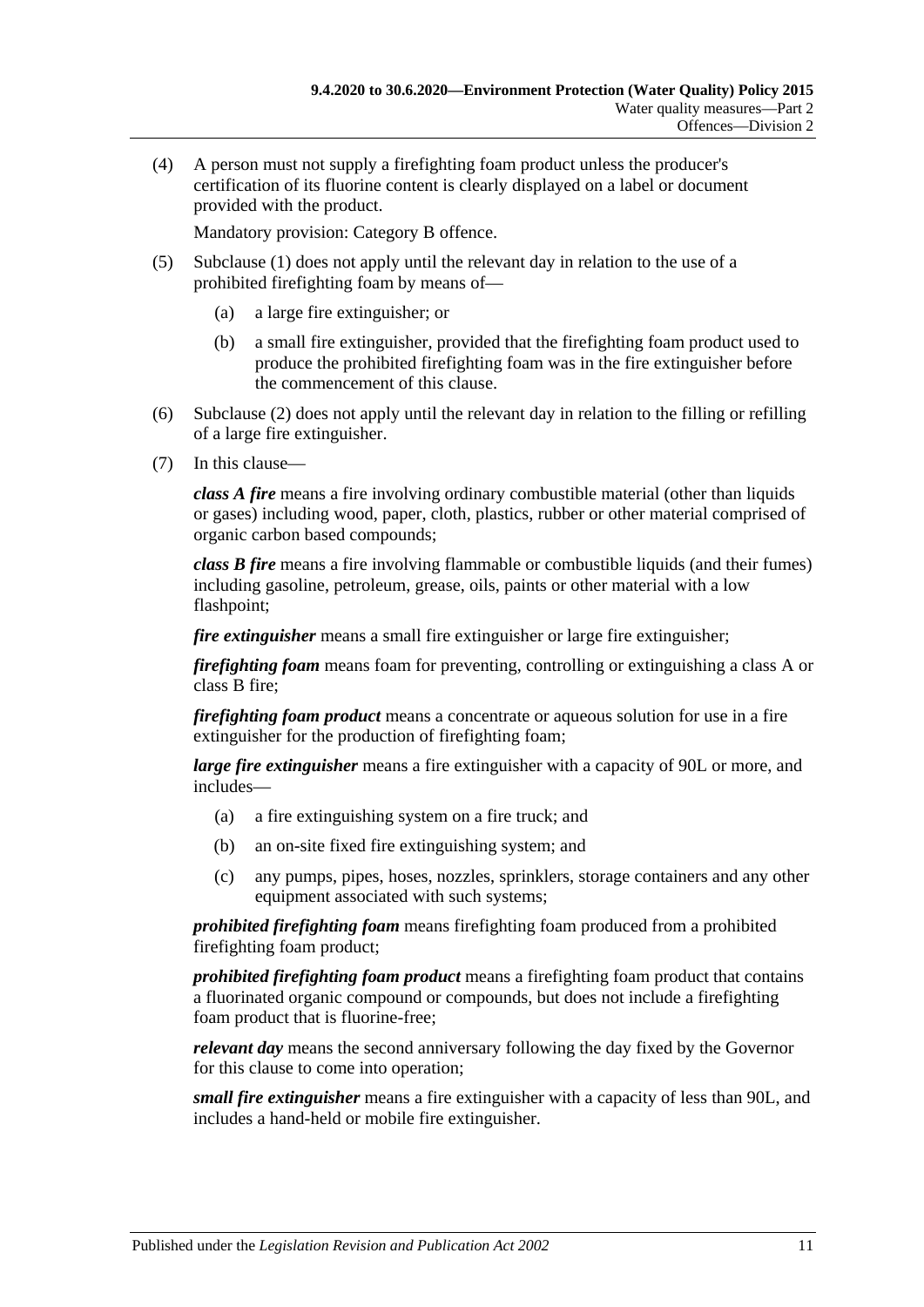(4) A person must not supply a firefighting foam product unless the producer's certification of its fluorine content is clearly displayed on a label or document provided with the product.

Mandatory provision: Category B offence.

- (5) [Subclause](#page-9-3) (1) does not apply until the relevant day in relation to the use of a prohibited firefighting foam by means of—
	- (a) a large fire extinguisher; or
	- (b) a small fire extinguisher, provided that the firefighting foam product used to produce the prohibited firefighting foam was in the fire extinguisher before the commencement of this clause.
- (6) [Subclause](#page-9-4) (2) does not apply until the relevant day in relation to the filling or refilling of a large fire extinguisher.
- (7) In this clause—

*class A fire* means a fire involving ordinary combustible material (other than liquids or gases) including wood, paper, cloth, plastics, rubber or other material comprised of organic carbon based compounds;

*class B fire* means a fire involving flammable or combustible liquids (and their fumes) including gasoline, petroleum, grease, oils, paints or other material with a low flashpoint;

*fire extinguisher* means a small fire extinguisher or large fire extinguisher;

*firefighting foam* means foam for preventing, controlling or extinguishing a class A or class B fire;

*firefighting foam product* means a concentrate or aqueous solution for use in a fire extinguisher for the production of firefighting foam;

*large fire extinguisher* means a fire extinguisher with a capacity of 90L or more, and includes—

- (a) a fire extinguishing system on a fire truck; and
- (b) an on-site fixed fire extinguishing system; and
- (c) any pumps, pipes, hoses, nozzles, sprinklers, storage containers and any other equipment associated with such systems;

*prohibited firefighting foam* means firefighting foam produced from a prohibited firefighting foam product;

*prohibited firefighting foam product* means a firefighting foam product that contains a fluorinated organic compound or compounds, but does not include a firefighting foam product that is fluorine-free;

*relevant day* means the second anniversary following the day fixed by the Governor for this clause to come into operation;

*small fire extinguisher* means a fire extinguisher with a capacity of less than 90L, and includes a hand-held or mobile fire extinguisher.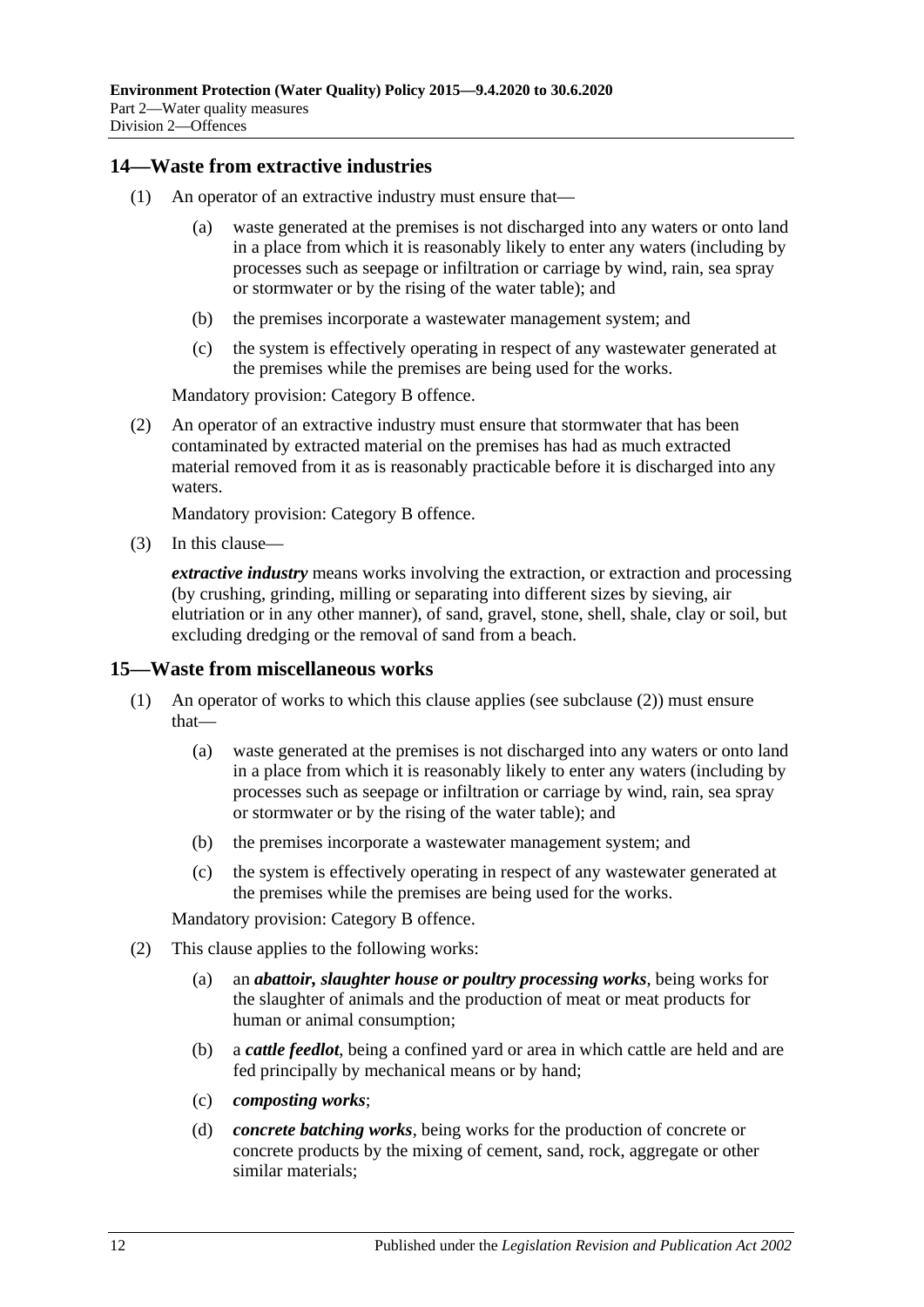#### <span id="page-11-0"></span>**14—Waste from extractive industries**

- (1) An operator of an extractive industry must ensure that—
	- (a) waste generated at the premises is not discharged into any waters or onto land in a place from which it is reasonably likely to enter any waters (including by processes such as seepage or infiltration or carriage by wind, rain, sea spray or stormwater or by the rising of the water table); and
	- (b) the premises incorporate a wastewater management system; and
	- (c) the system is effectively operating in respect of any wastewater generated at the premises while the premises are being used for the works.

Mandatory provision: Category B offence.

(2) An operator of an extractive industry must ensure that stormwater that has been contaminated by extracted material on the premises has had as much extracted material removed from it as is reasonably practicable before it is discharged into any waters.

Mandatory provision: Category B offence.

(3) In this clause—

*extractive industry* means works involving the extraction, or extraction and processing (by crushing, grinding, milling or separating into different sizes by sieving, air elutriation or in any other manner), of sand, gravel, stone, shell, shale, clay or soil, but excluding dredging or the removal of sand from a beach.

#### <span id="page-11-1"></span>**15—Waste from miscellaneous works**

- (1) An operator of works to which this clause applies (see [subclause](#page-11-2) (2)) must ensure that—
	- (a) waste generated at the premises is not discharged into any waters or onto land in a place from which it is reasonably likely to enter any waters (including by processes such as seepage or infiltration or carriage by wind, rain, sea spray or stormwater or by the rising of the water table); and
	- (b) the premises incorporate a wastewater management system; and
	- (c) the system is effectively operating in respect of any wastewater generated at the premises while the premises are being used for the works.

- <span id="page-11-2"></span>(2) This clause applies to the following works:
	- (a) an *abattoir, slaughter house or poultry processing works*, being works for the slaughter of animals and the production of meat or meat products for human or animal consumption;
	- (b) a *cattle feedlot*, being a confined yard or area in which cattle are held and are fed principally by mechanical means or by hand;
	- (c) *composting works*;
	- (d) *concrete batching works*, being works for the production of concrete or concrete products by the mixing of cement, sand, rock, aggregate or other similar materials;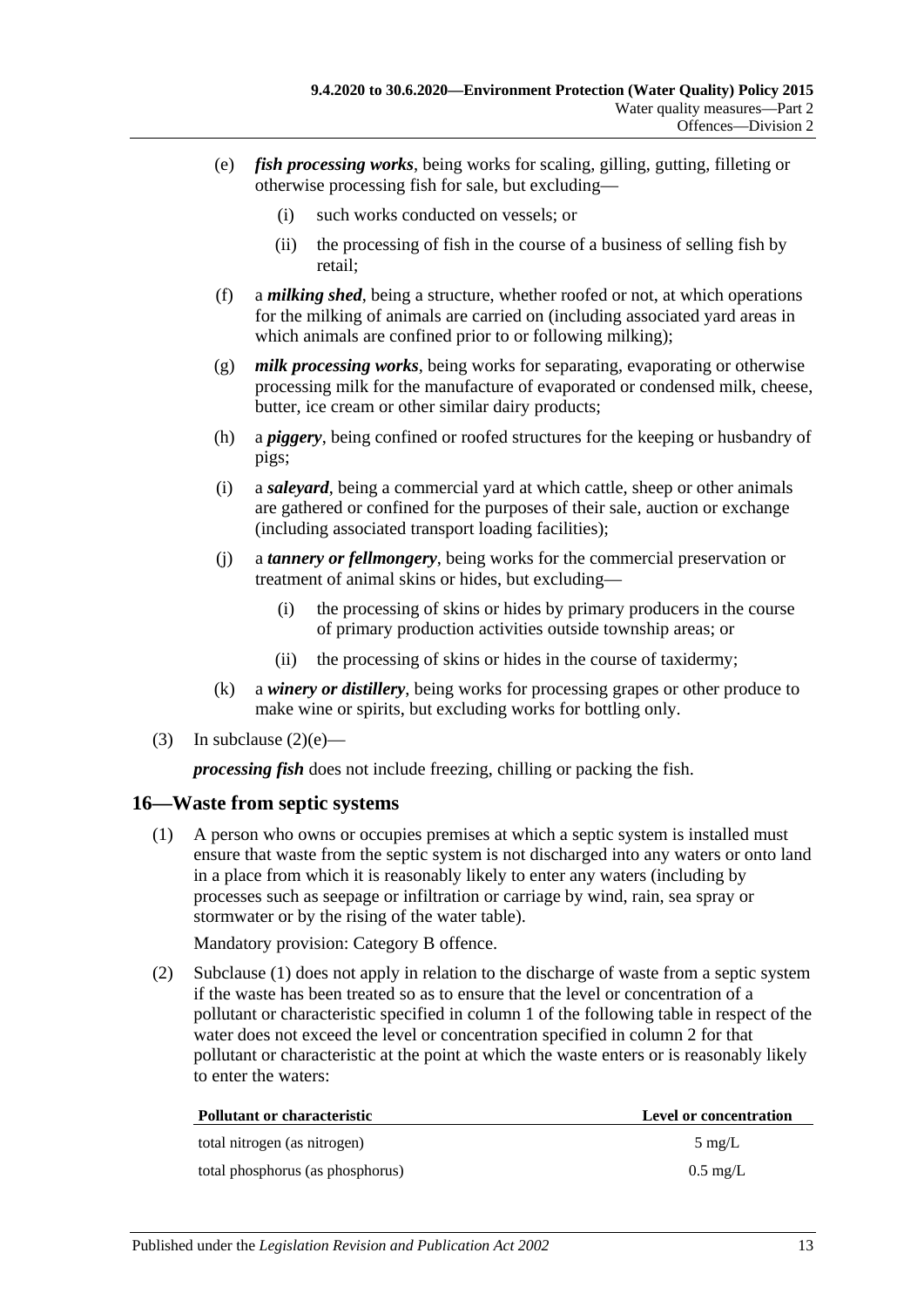- <span id="page-12-1"></span>(e) *fish processing works*, being works for scaling, gilling, gutting, filleting or otherwise processing fish for sale, but excluding—
	- (i) such works conducted on vessels; or
	- (ii) the processing of fish in the course of a business of selling fish by retail;
- (f) a *milking shed*, being a structure, whether roofed or not, at which operations for the milking of animals are carried on (including associated yard areas in which animals are confined prior to or following milking);
- (g) *milk processing works*, being works for separating, evaporating or otherwise processing milk for the manufacture of evaporated or condensed milk, cheese, butter, ice cream or other similar dairy products;
- (h) a *piggery*, being confined or roofed structures for the keeping or husbandry of pigs;
- (i) a *saleyard*, being a commercial yard at which cattle, sheep or other animals are gathered or confined for the purposes of their sale, auction or exchange (including associated transport loading facilities);
- (j) a *tannery or fellmongery*, being works for the commercial preservation or treatment of animal skins or hides, but excluding—
	- (i) the processing of skins or hides by primary producers in the course of primary production activities outside township areas; or
	- (ii) the processing of skins or hides in the course of taxidermy;
- (k) a *winery or distillery*, being works for processing grapes or other produce to make wine or spirits, but excluding works for bottling only.
- (3) In [subclause](#page-12-1)  $(2)(e)$ —

*processing fish* does not include freezing, chilling or packing the fish.

#### <span id="page-12-2"></span><span id="page-12-0"></span>**16—Waste from septic systems**

(1) A person who owns or occupies premises at which a septic system is installed must ensure that waste from the septic system is not discharged into any waters or onto land in a place from which it is reasonably likely to enter any waters (including by processes such as seepage or infiltration or carriage by wind, rain, sea spray or stormwater or by the rising of the water table).

Mandatory provision: Category B offence.

(2) [Subclause](#page-12-2) (1) does not apply in relation to the discharge of waste from a septic system if the waste has been treated so as to ensure that the level or concentration of a pollutant or characteristic specified in column 1 of the following table in respect of the water does not exceed the level or concentration specified in column 2 for that pollutant or characteristic at the point at which the waste enters or is reasonably likely to enter the waters:

| <b>Pollutant or characteristic</b> | Level or concentration |
|------------------------------------|------------------------|
| total nitrogen (as nitrogen)       | $5 \text{ mg/L}$       |
| total phosphorus (as phosphorus)   | $0.5 \text{ mg/L}$     |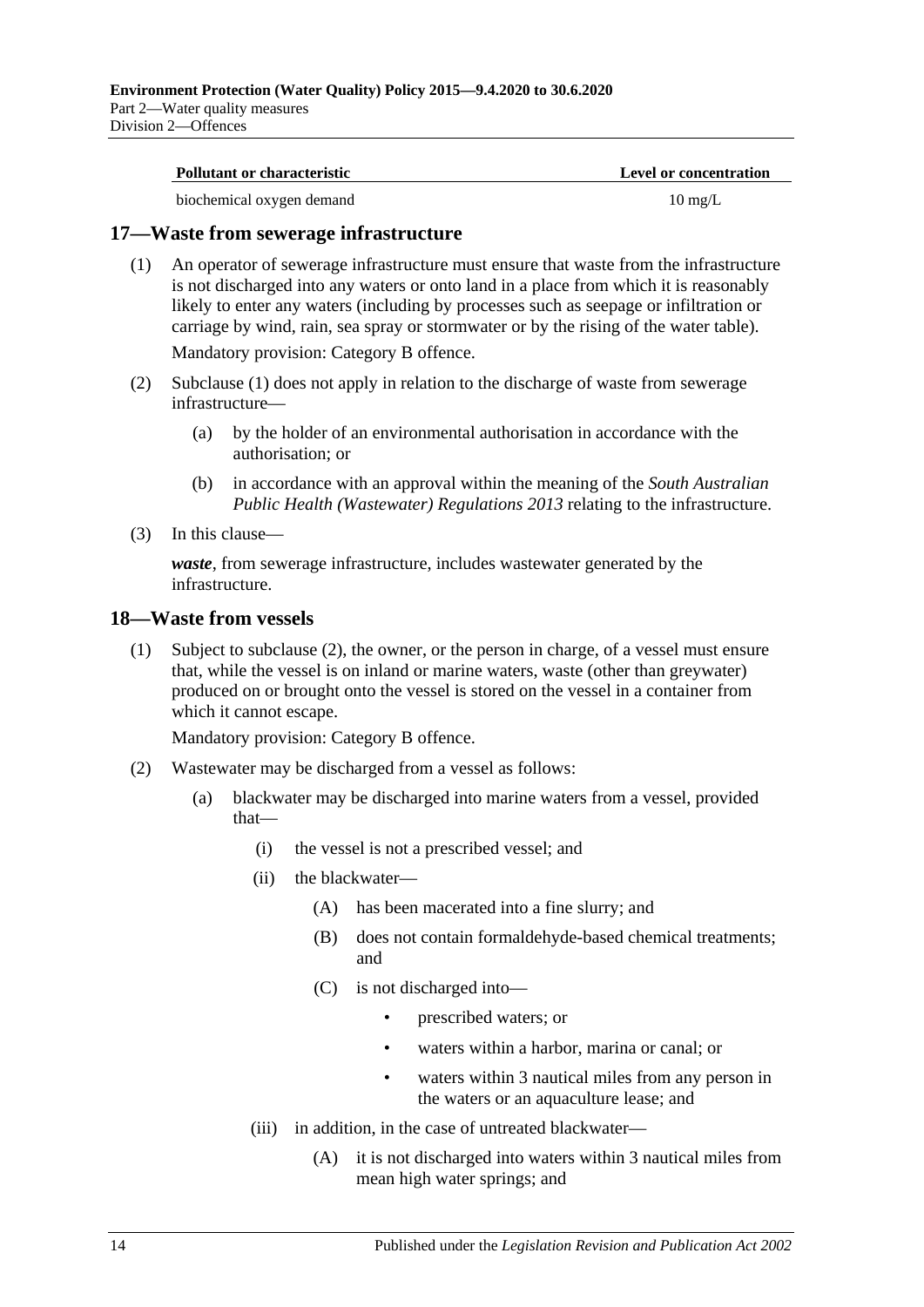| <b>Pollutant or characteristic</b> | Level or concentration |
|------------------------------------|------------------------|
| biochemical oxygen demand          | $10 \text{ mg/L}$      |

#### <span id="page-13-2"></span><span id="page-13-0"></span>**17—Waste from sewerage infrastructure**

(1) An operator of sewerage infrastructure must ensure that waste from the infrastructure is not discharged into any waters or onto land in a place from which it is reasonably likely to enter any waters (including by processes such as seepage or infiltration or carriage by wind, rain, sea spray or stormwater or by the rising of the water table). Mandatory provision: Category B offence.

(2) [Subclause](#page-13-2) (1) does not apply in relation to the discharge of waste from sewerage infrastructure—

- (a) by the holder of an environmental authorisation in accordance with the authorisation; or
- (b) in accordance with an approval within the meaning of the *[South Australian](http://www.legislation.sa.gov.au/index.aspx?action=legref&type=subordleg&legtitle=South%20Australian%20Public%20Health%20(Wastewater)%20Regulations%202013)  [Public Health \(Wastewater\) Regulations](http://www.legislation.sa.gov.au/index.aspx?action=legref&type=subordleg&legtitle=South%20Australian%20Public%20Health%20(Wastewater)%20Regulations%202013) 2013* relating to the infrastructure.
- (3) In this clause—

*waste*, from sewerage infrastructure, includes wastewater generated by the infrastructure.

#### <span id="page-13-4"></span><span id="page-13-1"></span>**18—Waste from vessels**

(1) Subject to [subclause](#page-13-3) (2), the owner, or the person in charge, of a vessel must ensure that, while the vessel is on inland or marine waters, waste (other than greywater) produced on or brought onto the vessel is stored on the vessel in a container from which it cannot escape.

- <span id="page-13-3"></span>(2) Wastewater may be discharged from a vessel as follows:
	- (a) blackwater may be discharged into marine waters from a vessel, provided that—
		- (i) the vessel is not a prescribed vessel; and
		- (ii) the blackwater—
			- (A) has been macerated into a fine slurry; and
			- (B) does not contain formaldehyde-based chemical treatments; and
			- (C) is not discharged into—
				- prescribed waters; or
				- waters within a harbor, marina or canal; or
				- waters within 3 nautical miles from any person in the waters or an aquaculture lease; and
		- (iii) in addition, in the case of untreated blackwater—
			- (A) it is not discharged into waters within 3 nautical miles from mean high water springs; and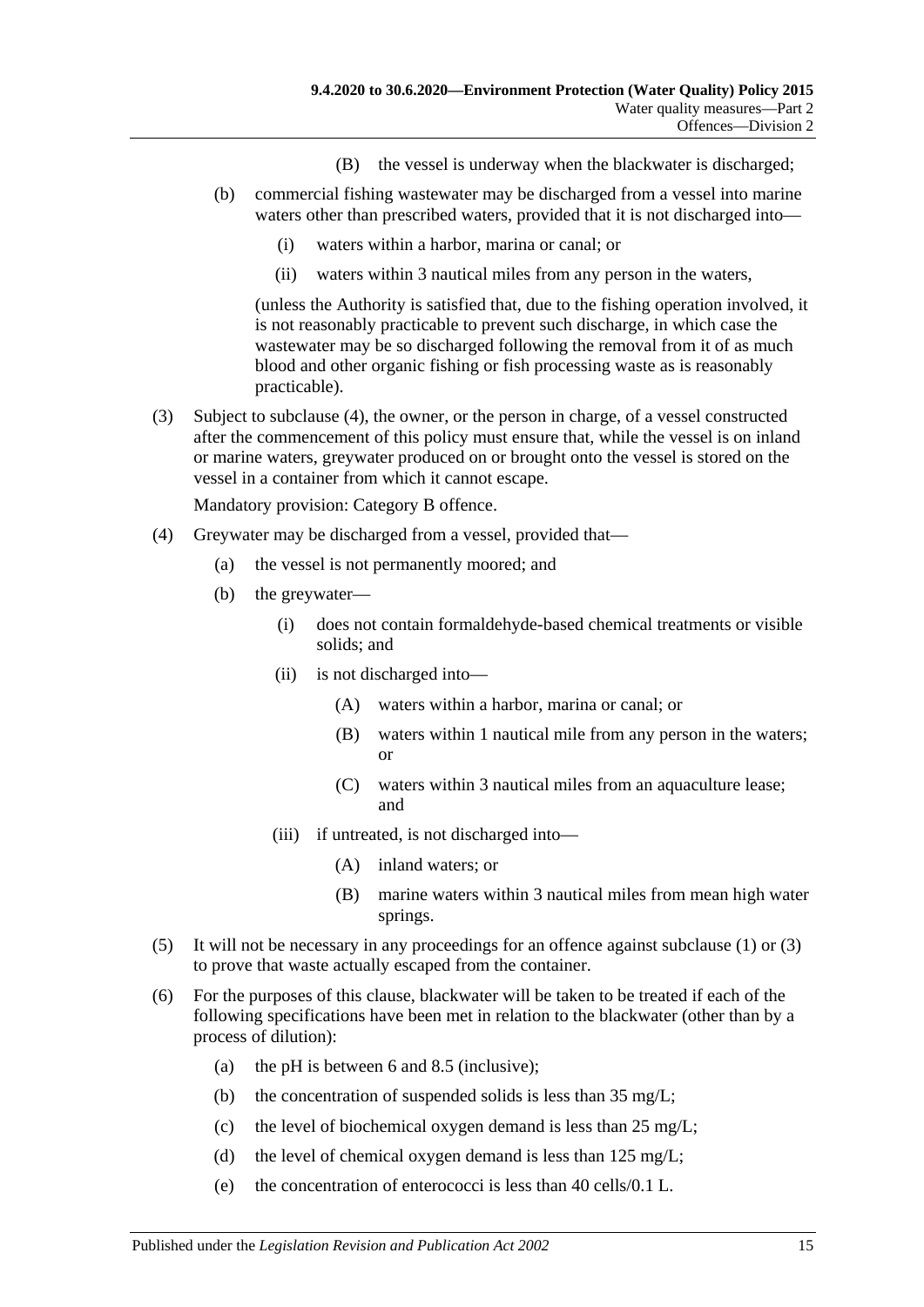- (B) the vessel is underway when the blackwater is discharged;
- (b) commercial fishing wastewater may be discharged from a vessel into marine waters other than prescribed waters, provided that it is not discharged into—
	- (i) waters within a harbor, marina or canal; or
	- (ii) waters within 3 nautical miles from any person in the waters,

(unless the Authority is satisfied that, due to the fishing operation involved, it is not reasonably practicable to prevent such discharge, in which case the wastewater may be so discharged following the removal from it of as much blood and other organic fishing or fish processing waste as is reasonably practicable).

<span id="page-14-1"></span>(3) Subject to [subclause](#page-14-0) (4), the owner, or the person in charge, of a vessel constructed after the commencement of this policy must ensure that, while the vessel is on inland or marine waters, greywater produced on or brought onto the vessel is stored on the vessel in a container from which it cannot escape.

- <span id="page-14-0"></span>(4) Greywater may be discharged from a vessel, provided that—
	- (a) the vessel is not permanently moored; and
	- (b) the greywater—
		- (i) does not contain formaldehyde-based chemical treatments or visible solids; and
		- (ii) is not discharged into—
			- (A) waters within a harbor, marina or canal; or
			- (B) waters within 1 nautical mile from any person in the waters; or
			- (C) waters within 3 nautical miles from an aquaculture lease; and
		- (iii) if untreated, is not discharged into—
			- (A) inland waters; or
			- (B) marine waters within 3 nautical miles from mean high water springs.
- (5) It will not be necessary in any proceedings for an offence against [subclause](#page-13-4) (1) or [\(3\)](#page-14-1) to prove that waste actually escaped from the container.
- <span id="page-14-2"></span>(6) For the purposes of this clause, blackwater will be taken to be treated if each of the following specifications have been met in relation to the blackwater (other than by a process of dilution):
	- (a) the pH is between 6 and 8.5 (inclusive);
	- (b) the concentration of suspended solids is less than 35 mg/L;
	- (c) the level of biochemical oxygen demand is less than 25 mg/L;
	- (d) the level of chemical oxygen demand is less than  $125 \text{ mg/L}$ ;
	- (e) the concentration of enterococci is less than 40 cells/0.1 L.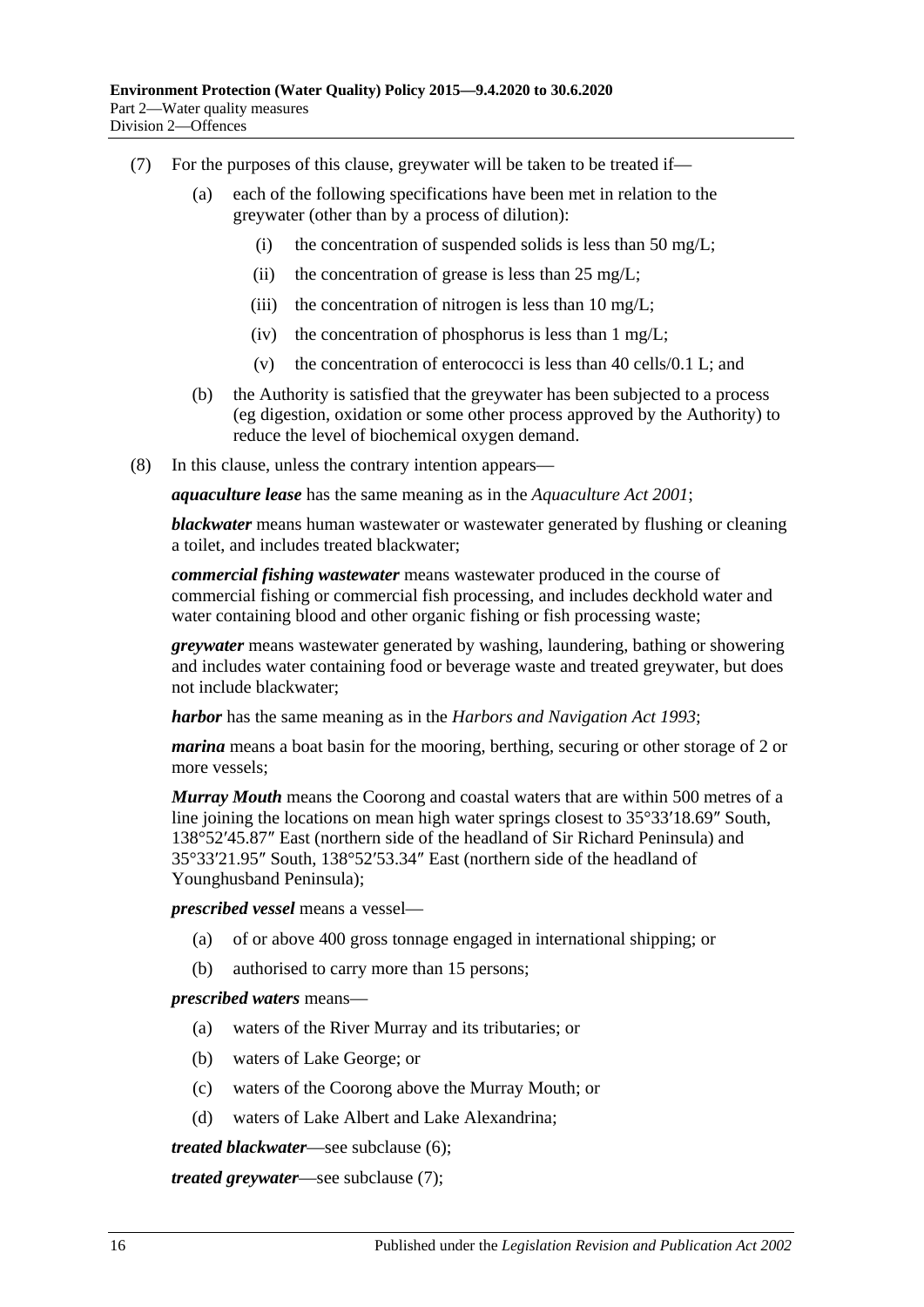- <span id="page-15-0"></span>(7) For the purposes of this clause, greywater will be taken to be treated if—
	- (a) each of the following specifications have been met in relation to the greywater (other than by a process of dilution):
		- (i) the concentration of suspended solids is less than 50 mg/L;
		- (ii) the concentration of grease is less than  $25 \text{ mg/L}$ ;
		- (iii) the concentration of nitrogen is less than  $10 \text{ mg/L}$ ;
		- (iv) the concentration of phosphorus is less than  $1 \text{ mg/L}$ ;
		- (v) the concentration of enterococci is less than 40 cells/0.1 L; and
	- (b) the Authority is satisfied that the greywater has been subjected to a process (eg digestion, oxidation or some other process approved by the Authority) to reduce the level of biochemical oxygen demand.
- (8) In this clause, unless the contrary intention appears—

*aquaculture lease* has the same meaning as in the *[Aquaculture Act](http://www.legislation.sa.gov.au/index.aspx?action=legref&type=act&legtitle=Aquaculture%20Act%202001) 2001*;

*blackwater* means human wastewater or wastewater generated by flushing or cleaning a toilet, and includes treated blackwater;

*commercial fishing wastewater* means wastewater produced in the course of commercial fishing or commercial fish processing, and includes deckhold water and water containing blood and other organic fishing or fish processing waste;

*greywater* means wastewater generated by washing, laundering, bathing or showering and includes water containing food or beverage waste and treated greywater, but does not include blackwater;

*harbor* has the same meaning as in the *[Harbors and Navigation Act](http://www.legislation.sa.gov.au/index.aspx?action=legref&type=act&legtitle=Harbors%20and%20Navigation%20Act%201993) 1993*;

*marina* means a boat basin for the mooring, berthing, securing or other storage of 2 or more vessels;

*Murray Mouth* means the Coorong and coastal waters that are within 500 metres of a line joining the locations on mean high water springs closest to 35°33′18.69″ South, 138°52′45.87″ East (northern side of the headland of Sir Richard Peninsula) and 35°33′21.95″ South, 138°52′53.34″ East (northern side of the headland of Younghusband Peninsula);

*prescribed vessel* means a vessel—

- (a) of or above 400 gross tonnage engaged in international shipping; or
- (b) authorised to carry more than 15 persons;

#### *prescribed waters* means—

- (a) waters of the River Murray and its tributaries; or
- (b) waters of Lake George; or
- (c) waters of the Coorong above the Murray Mouth; or
- (d) waters of Lake Albert and Lake Alexandrina;

*treated blackwater*—see [subclause](#page-14-2) (6);

*treated greywater*—see [subclause](#page-15-0) (7);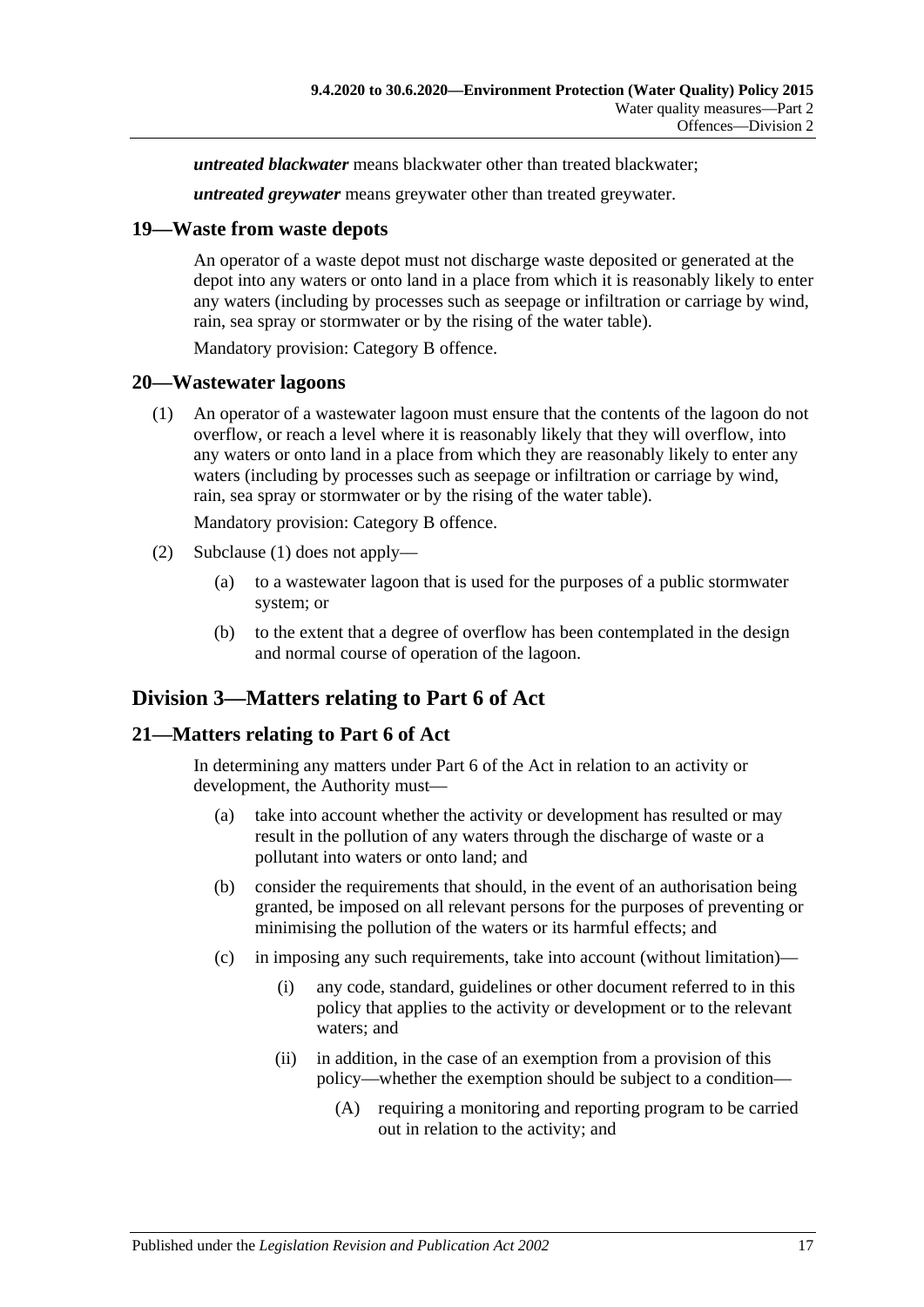*untreated blackwater* means blackwater other than treated blackwater;

*untreated greywater* means greywater other than treated greywater.

#### <span id="page-16-0"></span>**19—Waste from waste depots**

An operator of a waste depot must not discharge waste deposited or generated at the depot into any waters or onto land in a place from which it is reasonably likely to enter any waters (including by processes such as seepage or infiltration or carriage by wind, rain, sea spray or stormwater or by the rising of the water table).

Mandatory provision: Category B offence.

#### <span id="page-16-4"></span><span id="page-16-1"></span>**20—Wastewater lagoons**

(1) An operator of a wastewater lagoon must ensure that the contents of the lagoon do not overflow, or reach a level where it is reasonably likely that they will overflow, into any waters or onto land in a place from which they are reasonably likely to enter any waters (including by processes such as seepage or infiltration or carriage by wind, rain, sea spray or stormwater or by the rising of the water table).

Mandatory provision: Category B offence.

- (2) [Subclause](#page-16-4) (1) does not apply—
	- (a) to a wastewater lagoon that is used for the purposes of a public stormwater system; or
	- (b) to the extent that a degree of overflow has been contemplated in the design and normal course of operation of the lagoon.

## <span id="page-16-2"></span>**Division 3—Matters relating to Part 6 of Act**

#### <span id="page-16-3"></span>**21—Matters relating to Part 6 of Act**

In determining any matters under Part 6 of the Act in relation to an activity or development, the Authority must—

- (a) take into account whether the activity or development has resulted or may result in the pollution of any waters through the discharge of waste or a pollutant into waters or onto land; and
- (b) consider the requirements that should, in the event of an authorisation being granted, be imposed on all relevant persons for the purposes of preventing or minimising the pollution of the waters or its harmful effects; and
- (c) in imposing any such requirements, take into account (without limitation)—
	- (i) any code, standard, guidelines or other document referred to in this policy that applies to the activity or development or to the relevant waters; and
	- (ii) in addition, in the case of an exemption from a provision of this policy—whether the exemption should be subject to a condition—
		- (A) requiring a monitoring and reporting program to be carried out in relation to the activity; and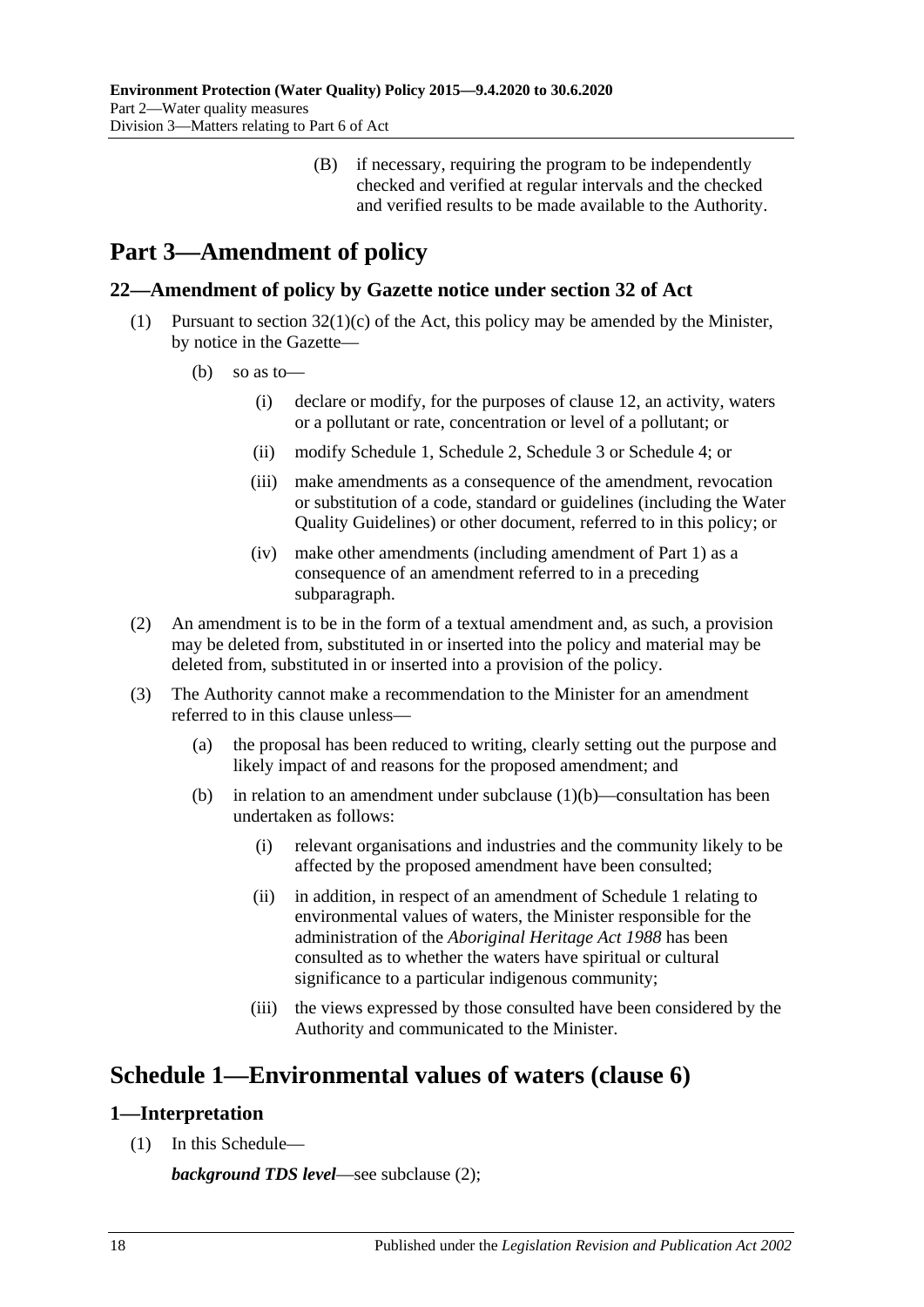(B) if necessary, requiring the program to be independently checked and verified at regular intervals and the checked and verified results to be made available to the Authority.

# <span id="page-17-0"></span>**Part 3—Amendment of policy**

## <span id="page-17-1"></span>**22—Amendment of policy by Gazette notice under section 32 of Act**

- <span id="page-17-4"></span>(1) Pursuant to section  $32(1)(c)$  of the Act, this policy may be amended by the Minister, by notice in the Gazette—
	- (b) so as to—
		- (i) declare or modify, for the purposes of [clause](#page-8-1) 12, an activity, waters or a pollutant or rate, concentration or level of a pollutant; or
		- (ii) modify [Schedule](#page-17-2) 1, [Schedule](#page-19-0) 2, [Schedule](#page-20-0) 3 or [Schedule](#page-21-0) 4; or
		- (iii) make amendments as a consequence of the amendment, revocation or substitution of a code, standard or guidelines (including the Water Quality Guidelines) or other document, referred to in this policy; or
		- (iv) make other amendments (including amendment of [Part](#page-1-0) 1) as a consequence of an amendment referred to in a preceding subparagraph.
- (2) An amendment is to be in the form of a textual amendment and, as such, a provision may be deleted from, substituted in or inserted into the policy and material may be deleted from, substituted in or inserted into a provision of the policy.
- (3) The Authority cannot make a recommendation to the Minister for an amendment referred to in this clause unless—
	- (a) the proposal has been reduced to writing, clearly setting out the purpose and likely impact of and reasons for the proposed amendment; and
	- (b) in relation to an amendment under [subclause](#page-17-4)  $(1)(b)$ —consultation has been undertaken as follows:
		- (i) relevant organisations and industries and the community likely to be affected by the proposed amendment have been consulted;
		- (ii) in addition, in respect of an amendment of [Schedule](#page-17-2) 1 relating to environmental values of waters, the Minister responsible for the administration of the *[Aboriginal Heritage Act](http://www.legislation.sa.gov.au/index.aspx?action=legref&type=act&legtitle=Aboriginal%20Heritage%20Act%201988) 1988* has been consulted as to whether the waters have spiritual or cultural significance to a particular indigenous community;
		- (iii) the views expressed by those consulted have been considered by the Authority and communicated to the Minister.

## <span id="page-17-2"></span>**Schedule 1—Environmental values of waters [\(clause](#page-4-1) 6)**

## <span id="page-17-3"></span>**1—Interpretation**

(1) In this Schedule—

*background TDS level*—see [subclause](#page-18-2) (2);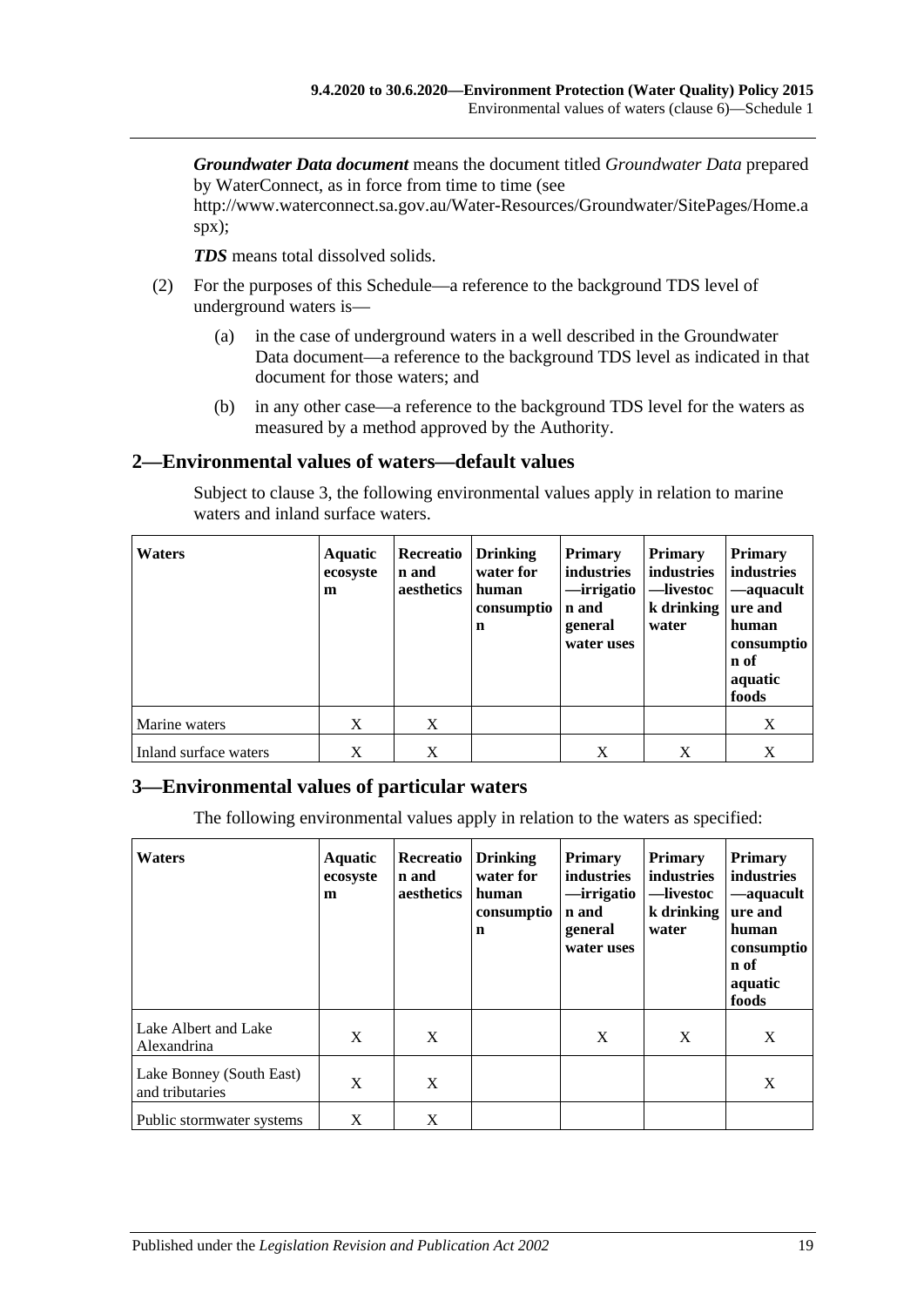*Groundwater Data document* means the document titled *Groundwater Data* prepared by WaterConnect, as in force from time to time (see

http://www.waterconnect.sa.gov.au/Water-Resources/Groundwater/SitePages/Home.a spx);

*TDS* means total dissolved solids.

- <span id="page-18-2"></span>(2) For the purposes of this Schedule—a reference to the background TDS level of underground waters is—
	- (a) in the case of underground waters in a well described in the Groundwater Data document—a reference to the background TDS level as indicated in that document for those waters; and
	- (b) in any other case—a reference to the background TDS level for the waters as measured by a method approved by the Authority.

#### <span id="page-18-0"></span>**2—Environmental values of waters—default values**

Subject to [clause](#page-18-1) 3, the following environmental values apply in relation to marine waters and inland surface waters.

| <b>Waters</b>         | <b>Aquatic</b><br>ecosyste<br>m | Recreatio<br>n and<br>aesthetics | Drinking<br>water for<br>human<br>consumptio<br>$\mathbf n$ | <b>Primary</b><br>industries<br>—irrigatio<br>n and<br>general<br>water uses | <b>Primary</b><br>industries<br>—livestoc<br>$k$ drinking<br>water | <b>Primary</b><br>industries<br>—aquacult<br>ure and<br>human<br>consumptio<br>n of<br>aquatic<br>foods |
|-----------------------|---------------------------------|----------------------------------|-------------------------------------------------------------|------------------------------------------------------------------------------|--------------------------------------------------------------------|---------------------------------------------------------------------------------------------------------|
| Marine waters         | X                               | X                                |                                                             |                                                                              |                                                                    | X                                                                                                       |
| Inland surface waters | X                               | X                                |                                                             | X                                                                            | Χ                                                                  | X                                                                                                       |

#### <span id="page-18-1"></span>**3—Environmental values of particular waters**

The following environmental values apply in relation to the waters as specified:

| <b>Waters</b>                               | Aquatic<br>ecosyste<br>m | Recreatio<br>n and<br>aesthetics | <b>Drinking</b><br>water for<br>human<br>consumptio<br>n | <b>Primary</b><br>industries<br>—irrigatio<br>n and<br>general<br>water uses | <b>Primary</b><br>industries<br>—livestoc<br>k drinking<br>water | <b>Primary</b><br>industries<br>-aquacult<br>ure and<br>human<br>consumptio<br>n of<br>aquatic<br>foods |
|---------------------------------------------|--------------------------|----------------------------------|----------------------------------------------------------|------------------------------------------------------------------------------|------------------------------------------------------------------|---------------------------------------------------------------------------------------------------------|
| Lake Albert and Lake<br>Alexandrina         | X                        | X                                |                                                          | X                                                                            | X                                                                | X                                                                                                       |
| Lake Bonney (South East)<br>and tributaries | X                        | X                                |                                                          |                                                                              |                                                                  | X                                                                                                       |
| Public stormwater systems                   | X                        | X                                |                                                          |                                                                              |                                                                  |                                                                                                         |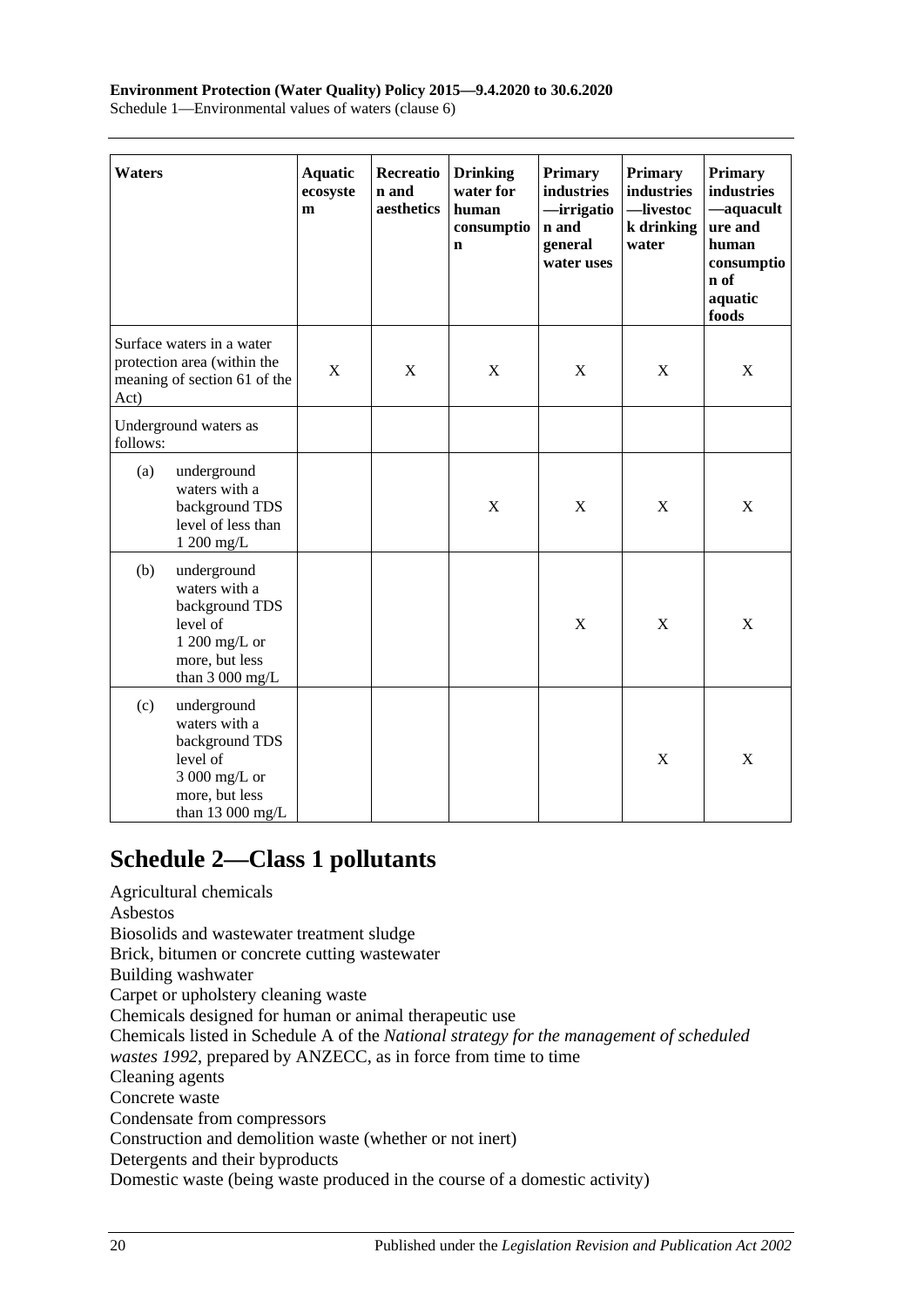## **Environment Protection (Water Quality) Policy 2015—9.4.2020 to 30.6.2020**

Schedule 1—Environmental values of waters (clause 6)

| <b>Waters</b> |                                                                                                                    | <b>Aquatic</b><br>ecosyste<br>m | Recreatio<br>n and<br>aesthetics | <b>Drinking</b><br>water for<br>human<br>consumptio<br>n | <b>Primary</b><br>industries<br>-irrigatio<br>n and<br>general<br>water uses | <b>Primary</b><br>industries<br>-livestoc<br>k drinking<br>water | <b>Primary</b><br>industries<br>-aquacult<br>ure and<br>human<br>consumptio<br>n of<br>aquatic<br>foods |
|---------------|--------------------------------------------------------------------------------------------------------------------|---------------------------------|----------------------------------|----------------------------------------------------------|------------------------------------------------------------------------------|------------------------------------------------------------------|---------------------------------------------------------------------------------------------------------|
| Act)          | Surface waters in a water<br>protection area (within the<br>meaning of section 61 of the                           | X                               | $\mathbf X$                      | $\mathbf X$                                              | $\mathbf X$                                                                  | X                                                                | $\mathbf X$                                                                                             |
| follows:      | Underground waters as                                                                                              |                                 |                                  |                                                          |                                                                              |                                                                  |                                                                                                         |
| (a)           | underground<br>waters with a<br>background TDS<br>level of less than<br>1 200 mg/L                                 |                                 |                                  | $\boldsymbol{\mathrm{X}}$                                | $\mathbf X$                                                                  | $\mathbf X$                                                      | $\mathbf X$                                                                                             |
| (b)           | underground<br>waters with a<br>background TDS<br>level of<br>$1200$ mg/L or<br>more, but less<br>than $3000$ mg/L |                                 |                                  |                                                          | $\mathbf X$                                                                  | $\mathbf X$                                                      | X                                                                                                       |
| (c)           | underground<br>waters with a<br>background TDS<br>level of<br>3 000 mg/L or<br>more, but less<br>than $13000$ mg/L |                                 |                                  |                                                          |                                                                              | $\mathbf X$                                                      | $\mathbf X$                                                                                             |

## <span id="page-19-0"></span>**Schedule 2—Class 1 pollutants**

Agricultural chemicals Asbestos Biosolids and wastewater treatment sludge Brick, bitumen or concrete cutting wastewater Building washwater Carpet or upholstery cleaning waste Chemicals designed for human or animal therapeutic use Chemicals listed in Schedule A of the *National strategy for the management of scheduled wastes 1992*, prepared by ANZECC, as in force from time to time Cleaning agents Concrete waste Condensate from compressors Construction and demolition waste (whether or not inert) Detergents and their byproducts Domestic waste (being waste produced in the course of a domestic activity)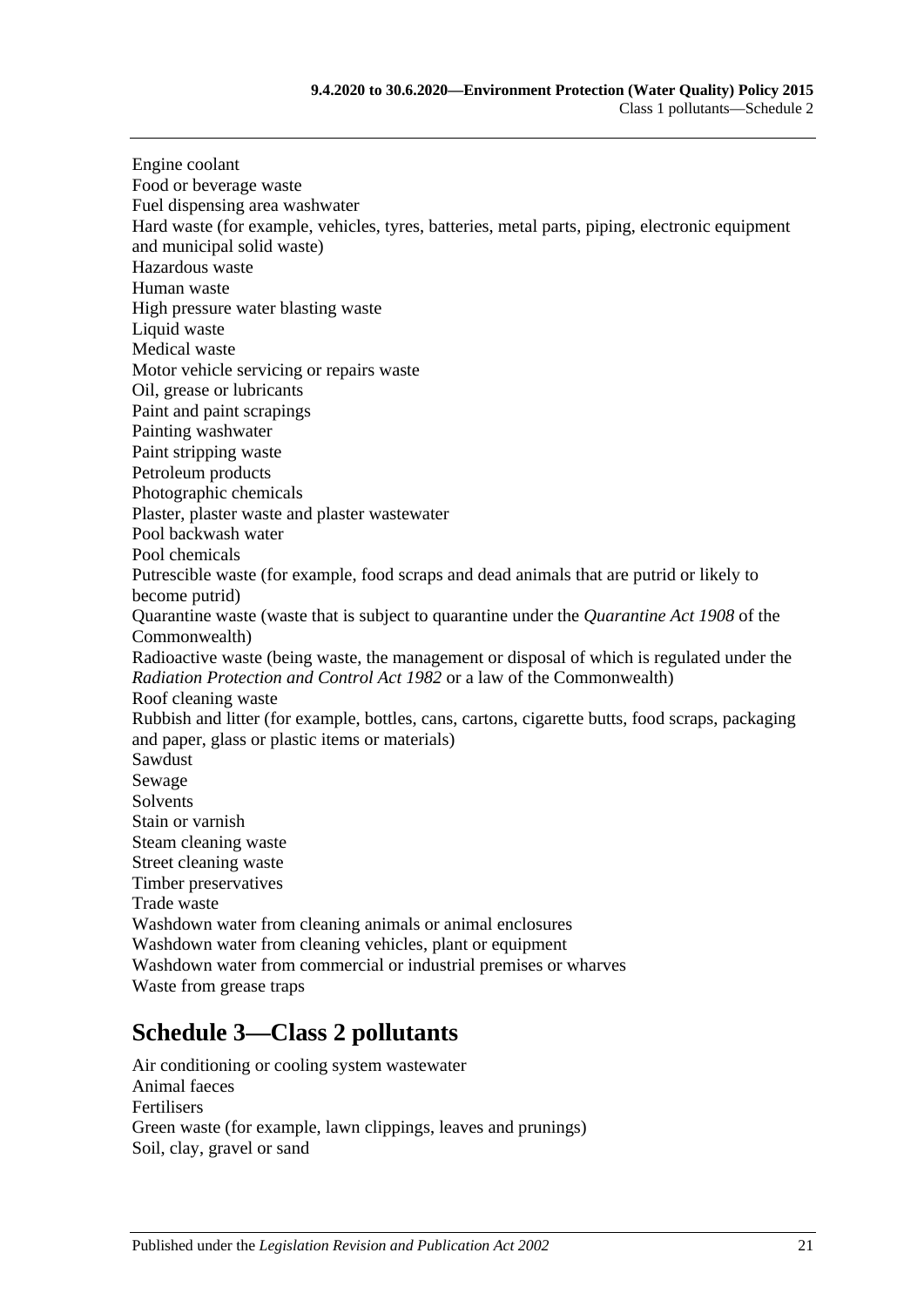Engine coolant Food or beverage waste Fuel dispensing area washwater Hard waste (for example, vehicles, tyres, batteries, metal parts, piping, electronic equipment and municipal solid waste) Hazardous waste Human waste High pressure water blasting waste Liquid waste Medical waste Motor vehicle servicing or repairs waste Oil, grease or lubricants Paint and paint scrapings Painting washwater Paint stripping waste Petroleum products Photographic chemicals Plaster, plaster waste and plaster wastewater Pool backwash water Pool chemicals Putrescible waste (for example, food scraps and dead animals that are putrid or likely to become putrid) Quarantine waste (waste that is subject to quarantine under the *Quarantine Act 1908* of the Commonwealth) Radioactive waste (being waste, the management or disposal of which is regulated under the *[Radiation Protection and Control Act](http://www.legislation.sa.gov.au/index.aspx?action=legref&type=act&legtitle=Radiation%20Protection%20and%20Control%20Act%201982) 1982* or a law of the Commonwealth) Roof cleaning waste Rubbish and litter (for example, bottles, cans, cartons, cigarette butts, food scraps, packaging and paper, glass or plastic items or materials) Sawdust Sewage **Solvents** Stain or varnish Steam cleaning waste Street cleaning waste Timber preservatives Trade waste Washdown water from cleaning animals or animal enclosures Washdown water from cleaning vehicles, plant or equipment Washdown water from commercial or industrial premises or wharves Waste from grease traps

## <span id="page-20-0"></span>**Schedule 3—Class 2 pollutants**

Air conditioning or cooling system wastewater Animal faeces Fertilisers Green waste (for example, lawn clippings, leaves and prunings) Soil, clay, gravel or sand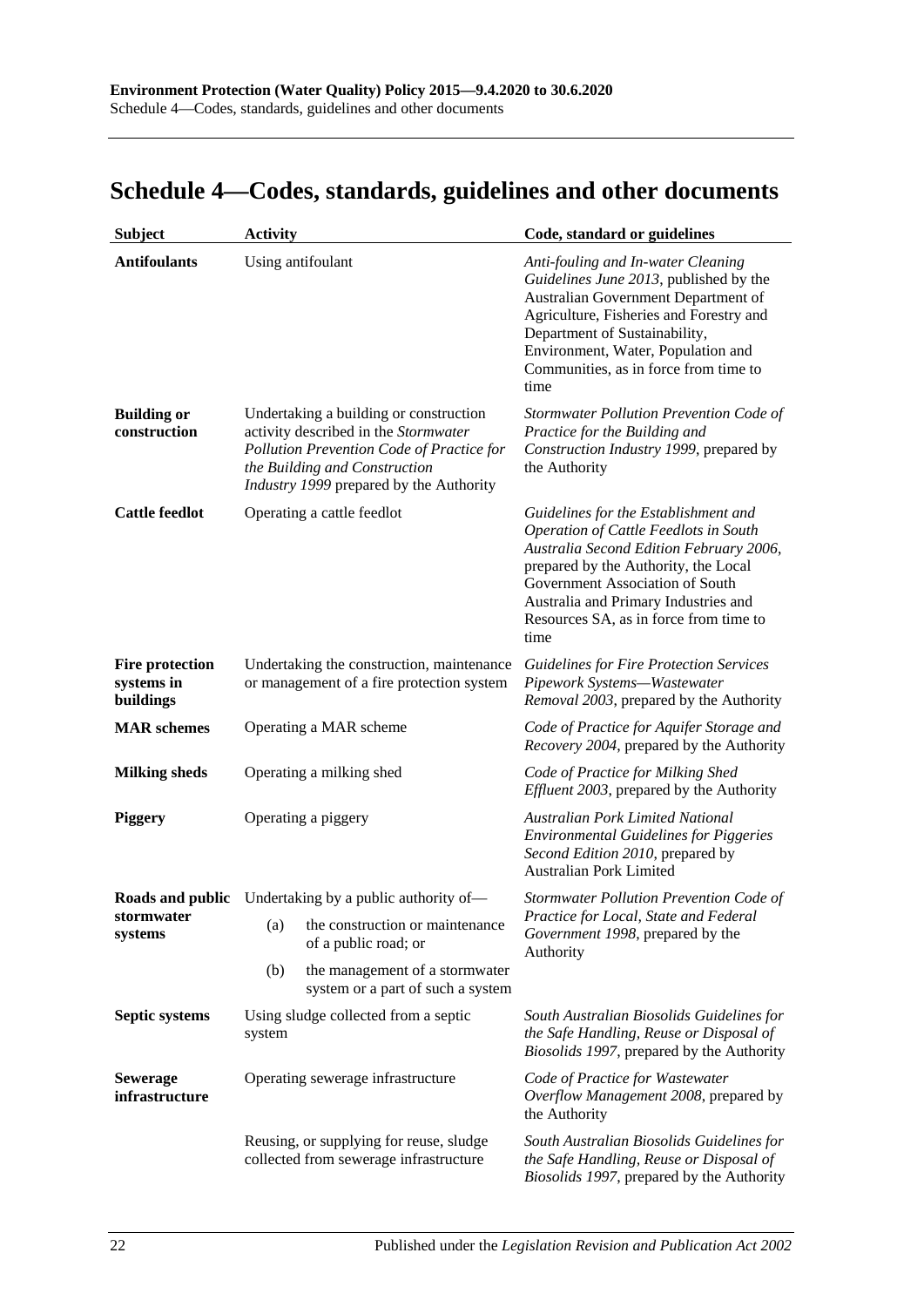# <span id="page-21-0"></span>**Schedule 4—Codes, standards, guidelines and other documents**

| <b>Subject</b>                                    | <b>Activity</b>                                                                                                        |                                                                                                                                                                                                         | Code, standard or guidelines                                                                                                                                                                                                                                                                  |
|---------------------------------------------------|------------------------------------------------------------------------------------------------------------------------|---------------------------------------------------------------------------------------------------------------------------------------------------------------------------------------------------------|-----------------------------------------------------------------------------------------------------------------------------------------------------------------------------------------------------------------------------------------------------------------------------------------------|
| <b>Antifoulants</b>                               |                                                                                                                        | Using antifoulant                                                                                                                                                                                       | Anti-fouling and In-water Cleaning<br>Guidelines June 2013, published by the<br>Australian Government Department of<br>Agriculture, Fisheries and Forestry and<br>Department of Sustainability,<br>Environment, Water, Population and<br>Communities, as in force from time to<br>time        |
| <b>Building or</b><br>construction                |                                                                                                                        | Undertaking a building or construction<br>activity described in the Stormwater<br>Pollution Prevention Code of Practice for<br>the Building and Construction<br>Industry 1999 prepared by the Authority | Stormwater Pollution Prevention Code of<br>Practice for the Building and<br>Construction Industry 1999, prepared by<br>the Authority                                                                                                                                                          |
| <b>Cattle feedlot</b>                             |                                                                                                                        | Operating a cattle feedlot                                                                                                                                                                              | Guidelines for the Establishment and<br>Operation of Cattle Feedlots in South<br>Australia Second Edition February 2006,<br>prepared by the Authority, the Local<br>Government Association of South<br>Australia and Primary Industries and<br>Resources SA, as in force from time to<br>time |
| <b>Fire protection</b><br>systems in<br>buildings |                                                                                                                        | Undertaking the construction, maintenance<br>or management of a fire protection system                                                                                                                  | <b>Guidelines for Fire Protection Services</b><br>Pipework Systems-Wastewater<br>Removal 2003, prepared by the Authority                                                                                                                                                                      |
| <b>MAR</b> schemes                                |                                                                                                                        | Operating a MAR scheme                                                                                                                                                                                  | Code of Practice for Aquifer Storage and<br>Recovery 2004, prepared by the Authority                                                                                                                                                                                                          |
| <b>Milking sheds</b>                              |                                                                                                                        | Operating a milking shed                                                                                                                                                                                | Code of Practice for Milking Shed<br><i>Effluent 2003</i> , prepared by the Authority                                                                                                                                                                                                         |
| <b>Piggery</b>                                    |                                                                                                                        | Operating a piggery                                                                                                                                                                                     | <b>Australian Pork Limited National</b><br><b>Environmental Guidelines for Piggeries</b><br>Second Edition 2010, prepared by<br><b>Australian Pork Limited</b>                                                                                                                                |
|                                                   |                                                                                                                        | <b>Roads and public</b> Undertaking by a public authority of-                                                                                                                                           | Stormwater Pollution Prevention Code of                                                                                                                                                                                                                                                       |
| stormwater<br>systems                             | (a)                                                                                                                    | the construction or maintenance<br>of a public road; or                                                                                                                                                 | Practice for Local, State and Federal<br>Government 1998, prepared by the<br>Authority                                                                                                                                                                                                        |
|                                                   | (b)                                                                                                                    | the management of a stormwater<br>system or a part of such a system                                                                                                                                     |                                                                                                                                                                                                                                                                                               |
| <b>Septic systems</b>                             | Using sludge collected from a septic<br>system                                                                         |                                                                                                                                                                                                         | South Australian Biosolids Guidelines for<br>the Safe Handling, Reuse or Disposal of<br>Biosolids 1997, prepared by the Authority                                                                                                                                                             |
| <b>Sewerage</b><br>infrastructure                 | Operating sewerage infrastructure<br>Reusing, or supplying for reuse, sludge<br>collected from sewerage infrastructure |                                                                                                                                                                                                         | Code of Practice for Wastewater<br>Overflow Management 2008, prepared by<br>the Authority                                                                                                                                                                                                     |
|                                                   |                                                                                                                        |                                                                                                                                                                                                         | South Australian Biosolids Guidelines for<br>the Safe Handling, Reuse or Disposal of<br>Biosolids 1997, prepared by the Authority                                                                                                                                                             |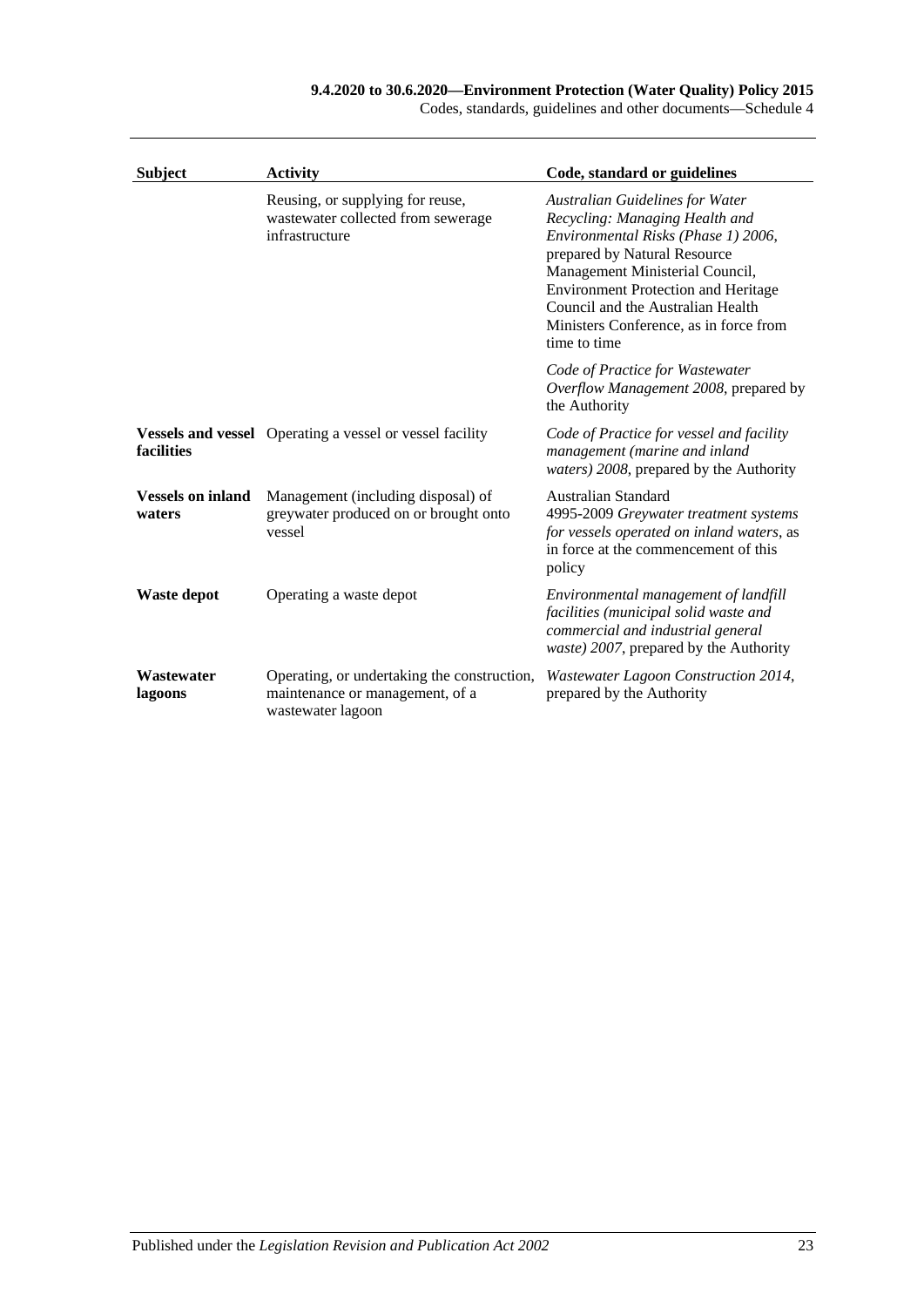| Codes, standards, guidelines and other documents—Schedule 4 |  |  |  |
|-------------------------------------------------------------|--|--|--|
|-------------------------------------------------------------|--|--|--|

| <b>Subject</b>                     | <b>Activity</b>                                                                                     | Code, standard or guidelines                                                                                                                                                                                                                                                                                                    |
|------------------------------------|-----------------------------------------------------------------------------------------------------|---------------------------------------------------------------------------------------------------------------------------------------------------------------------------------------------------------------------------------------------------------------------------------------------------------------------------------|
|                                    | Reusing, or supplying for reuse,<br>wastewater collected from sewerage<br>infrastructure            | <b>Australian Guidelines for Water</b><br>Recycling: Managing Health and<br>Environmental Risks (Phase 1) 2006,<br>prepared by Natural Resource<br>Management Ministerial Council,<br><b>Environment Protection and Heritage</b><br>Council and the Australian Health<br>Ministers Conference, as in force from<br>time to time |
|                                    |                                                                                                     | Code of Practice for Wastewater<br>Overflow Management 2008, prepared by<br>the Authority                                                                                                                                                                                                                                       |
| facilities                         | <b>Vessels and vessel</b> Operating a vessel or vessel facility                                     | Code of Practice for vessel and facility<br>management (marine and inland<br><i>waters</i> ) 2008, prepared by the Authority                                                                                                                                                                                                    |
| <b>Vessels on inland</b><br>waters | Management (including disposal) of<br>greywater produced on or brought onto<br>vessel               | Australian Standard<br>4995-2009 Greywater treatment systems<br>for vessels operated on inland waters, as<br>in force at the commencement of this<br>policy                                                                                                                                                                     |
| <b>Waste depot</b>                 | Operating a waste depot                                                                             | Environmental management of landfill<br>facilities (municipal solid waste and<br>commercial and industrial general<br>waste) 2007, prepared by the Authority                                                                                                                                                                    |
| Wastewater<br>lagoons              | Operating, or undertaking the construction,<br>maintenance or management, of a<br>wastewater lagoon | Wastewater Lagoon Construction 2014,<br>prepared by the Authority                                                                                                                                                                                                                                                               |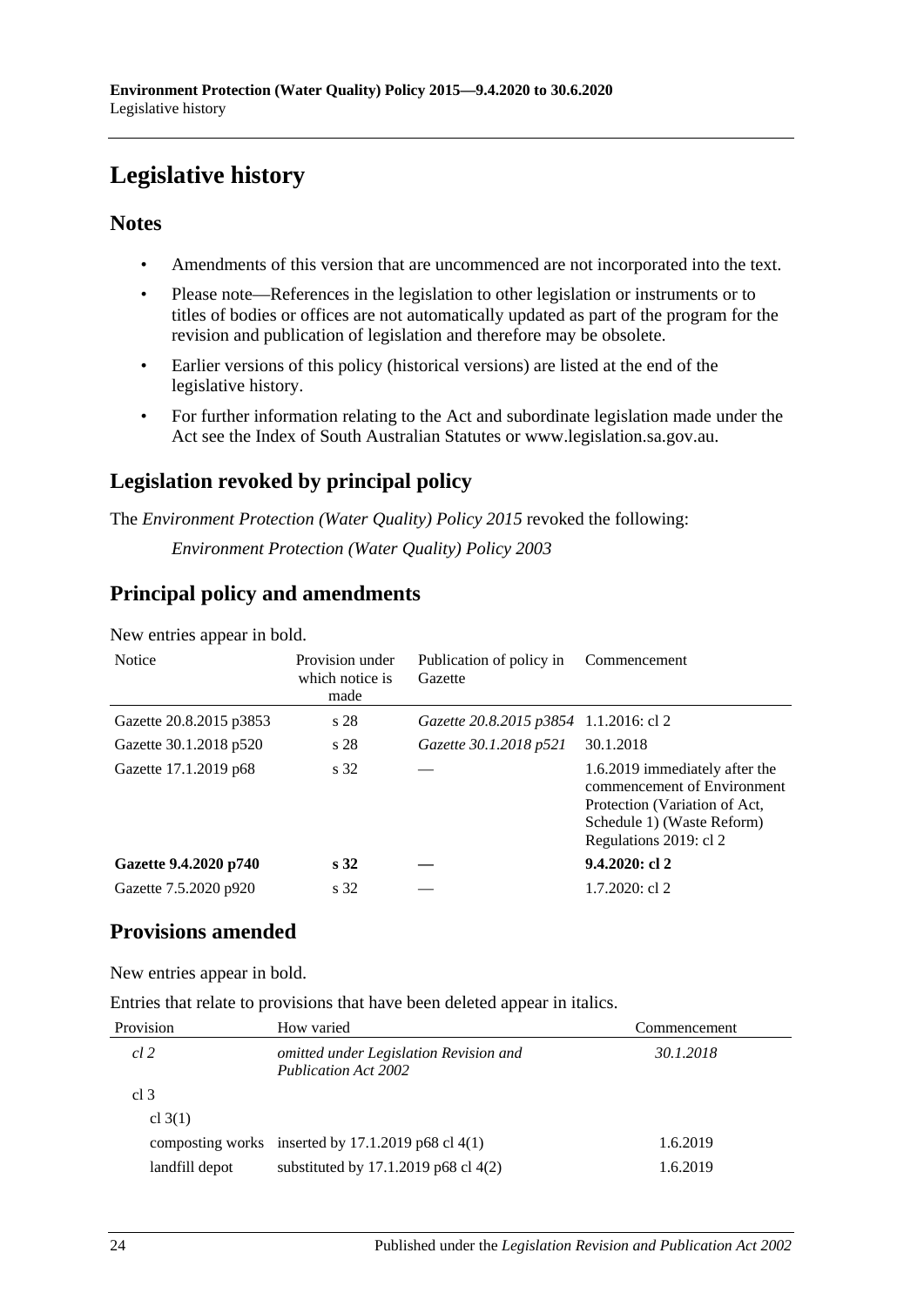# <span id="page-23-0"></span>**Legislative history**

### **Notes**

- Amendments of this version that are uncommenced are not incorporated into the text.
- Please note—References in the legislation to other legislation or instruments or to titles of bodies or offices are not automatically updated as part of the program for the revision and publication of legislation and therefore may be obsolete.
- Earlier versions of this policy (historical versions) are listed at the end of the legislative history.
- For further information relating to the Act and subordinate legislation made under the Act see the Index of South Australian Statutes or www.legislation.sa.gov.au.

## **Legislation revoked by principal policy**

The *Environment Protection (Water Quality) Policy 2015* revoked the following: *Environment Protection (Water Quality) Policy 2003*

## **Principal policy and amendments**

New entries appear in bold.

| <b>Notice</b>           | Provision under<br>which notice is<br>made | Publication of policy in<br>Gazette    | Commencement                                                                                                                                           |
|-------------------------|--------------------------------------------|----------------------------------------|--------------------------------------------------------------------------------------------------------------------------------------------------------|
| Gazette 20.8.2015 p3853 | s 28                                       | Gazette 20.8.2015 p3854 1.1.2016: cl 2 |                                                                                                                                                        |
| Gazette 30.1.2018 p520  | s 28                                       | Gazette 30.1.2018 p521                 | 30.1.2018                                                                                                                                              |
| Gazette 17.1.2019 p68   | s 32                                       |                                        | 1.6.2019 immediately after the<br>commencement of Environment<br>Protection (Variation of Act,<br>Schedule 1) (Waste Reform)<br>Regulations 2019: cl 2 |
| Gazette 9.4.2020 p740   | $\sqrt{s}32$                               |                                        | $9.4.2020$ : cl 2                                                                                                                                      |
| Gazette 7.5.2020 p920   | s 32                                       |                                        | $1.7.2020$ : cl 2                                                                                                                                      |

## **Provisions amended**

New entries appear in bold.

Entries that relate to provisions that have been deleted appear in italics.

| Provision       | How varied                                                            | Commencement |
|-----------------|-----------------------------------------------------------------------|--------------|
| cl 2            | omitted under Legislation Revision and<br><b>Publication Act 2002</b> | 30.1.2018    |
| cl <sub>3</sub> |                                                                       |              |
| cl $3(1)$       |                                                                       |              |
|                 | composting works inserted by $17.1.2019$ p68 cl $4(1)$                | 1.6.2019     |
| landfill depot  | substituted by $17.1.2019$ p68 cl $4(2)$                              | 1.6.2019     |